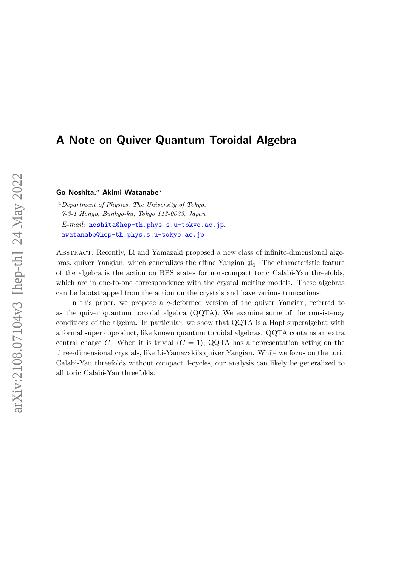# A Note on Quiver Quantum Toroidal Algebra

## Go Noshita, $^a$  Akimi Watanabe $^a$

<sup>a</sup>Department of Physics, The University of Tokyo, 7-3-1 Hongo, Bunkyo-ku, Tokyo 113-0033, Japan E-mail: [noshita@hep-th.phys.s.u-tokyo.ac.jp](mailto:noshita@hep-th.phys.s.u-tokyo.ac.jp), [awatanabe@hep-th.phys.s.u-tokyo.ac.jp](mailto:awatanabe@hep-th.phys.s.u-tokyo.ac.jp)

Abstract: Recently, Li and Yamazaki proposed a new class of infinite-dimensional algebras, quiver Yangian, which generalizes the affine Yangian  $\mathfrak{gl}_1$ . The characteristic feature of the algebra is the action on BPS states for non-compact toric Calabi-Yau threefolds, which are in one-to-one correspondence with the crystal melting models. These algebras can be bootstrapped from the action on the crystals and have various truncations.

In this paper, we propose a  $q$ -deformed version of the quiver Yangian, referred to as the quiver quantum toroidal algebra (QQTA). We examine some of the consistency conditions of the algebra. In particular, we show that QQTA is a Hopf superalgebra with a formal super coproduct, like known quantum toroidal algebras. QQTA contains an extra central charge C. When it is trivial  $(C = 1)$ , QQTA has a representation acting on the three-dimensional crystals, like Li-Yamazaki's quiver Yangian. While we focus on the toric Calabi-Yau threefolds without compact 4-cycles, our analysis can likely be generalized to all toric Calabi-Yau threefolds.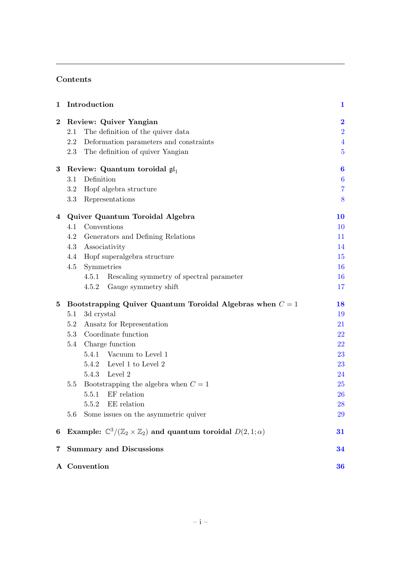## Contents

| 1        | Introduction                                                                                    | $\mathbf 1$      |
|----------|-------------------------------------------------------------------------------------------------|------------------|
| $\bf{2}$ | Review: Quiver Yangian                                                                          | $\mathbf{2}$     |
|          | The definition of the quiver data<br>2.1                                                        | $\overline{2}$   |
|          | Deformation parameters and constraints<br>2.2                                                   | $\overline{4}$   |
|          | The definition of quiver Yangian<br>2.3                                                         | $\overline{5}$   |
| 3        | Review: Quantum toroidal $\mathfrak{gl}_1$                                                      | $\boldsymbol{6}$ |
|          | Definition<br>3.1                                                                               | $\boldsymbol{6}$ |
|          | 3.2<br>Hopf algebra structure                                                                   | $\overline{7}$   |
|          | 3.3<br>Representations                                                                          | 8                |
| 4        | Quiver Quantum Toroidal Algebra                                                                 | <b>10</b>        |
|          | 4.1<br>Conventions                                                                              | 10               |
|          | 4.2<br>Generators and Defining Relations                                                        | 11               |
|          | 4.3<br>Associativity                                                                            | 14               |
|          | Hopf superalgebra structure<br>4.4                                                              | 15               |
|          | Symmetries<br>4.5                                                                               | 16               |
|          | Rescaling symmetry of spectral parameter<br>4.5.1                                               | 16               |
|          | Gauge symmetry shift<br>4.5.2                                                                   | 17               |
| 5        | Bootstrapping Quiver Quantum Toroidal Algebras when $C = 1$                                     | 18               |
|          | 3d crystal<br>5.1                                                                               | 19               |
|          | Ansatz for Representation<br>5.2                                                                | 21               |
|          | 5.3 Coordinate function                                                                         | 22               |
|          | Charge function<br>$5.4\,$                                                                      | 22               |
|          | 5.4.1 Vacuum to Level 1                                                                         | 23               |
|          | 5.4.2<br>Level 1 to Level 2                                                                     | 23               |
|          | 5.4.3 Level 2                                                                                   | 24               |
|          | Bootstrapping the algebra when $C = 1$<br>5.5                                                   | 25               |
|          | 5.5.1<br>EF relation                                                                            | <b>26</b>        |
|          | EE relation<br>5.5.2                                                                            | <b>28</b>        |
|          | Some issues on the asymmetric quiver<br>5.6                                                     | 29               |
| 6        | Example: $\mathbb{C}^3/(\mathbb{Z}_2 \times \mathbb{Z}_2)$ and quantum toroidal $D(2,1;\alpha)$ | 31               |
| 7        | <b>Summary and Discussions</b>                                                                  | 34               |
|          | A Convention                                                                                    | 36               |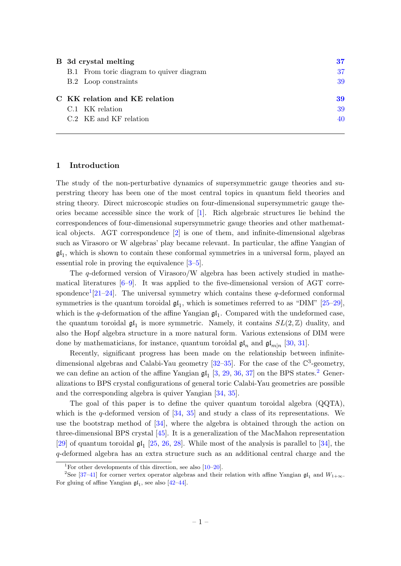| B 3d crystal melting                     | 37 |
|------------------------------------------|----|
| B.1 From toric diagram to quiver diagram | 37 |
| B.2 Loop constraints                     | 39 |
| C KK relation and KE relation            | 39 |
| C.1 KK relation                          | 39 |
| C.2 KE and KF relation                   | 40 |
|                                          |    |

## <span id="page-2-0"></span>1 Introduction

The study of the non-perturbative dynamics of supersymmetric gauge theories and superstring theory has been one of the most central topics in quantum field theories and string theory. Direct microscopic studies on four-dimensional supersymmetric gauge theories became accessible since the work of [\[1\]](#page-41-1). Rich algebraic structures lie behind the correspondences of four-dimensional supersymmetric gauge theories and other mathematical objects. AGT correspondence [\[2\]](#page-41-2) is one of them, and infinite-dimensional algebras such as Virasoro or W algebras' play became relevant. In particular, the affine Yangian of  $\mathfrak{gl}_1$ , which is shown to contain these conformal symmetries in a universal form, played an essential role in proving the equivalence [\[3](#page-41-3)[–5\]](#page-42-0).

The q-deformed version of Virasoro/W algebra has been actively studied in mathematical literatures  $[6-9]$  $[6-9]$ . It was applied to the five-dimensional version of AGT corre-spondence<sup>[1](#page-2-1)</sup>[\[21](#page-43-0)[–24\]](#page-43-1). The universal symmetry which contains these  $q$ -deformed conformal symmetries is the quantum toroidal  $\mathfrak{gl}_1$ , which is sometimes referred to as "DIM" [\[25–](#page-43-2)[29\]](#page-43-3), which is the q-deformation of the affine Yangian  $\mathfrak{gl}_1$ . Compared with the undeformed case, the quantum toroidal  $\mathfrak{gl}_1$  is more symmetric. Namely, it contains  $SL(2,\mathbb{Z})$  duality, and also the Hopf algebra structure in a more natural form. Various extensions of DIM were done by mathematicians, for instance, quantum toroidal  $\mathfrak{gl}_n$  and  $\mathfrak{gl}_{m|n}$  [\[30,](#page-43-4) [31\]](#page-43-5).

Recently, significant progress has been made on the relationship between infinitedimensional algebras and Calabi-Yau geometry  $[32-35]$  $[32-35]$ . For the case of the  $\mathbb{C}^3$ -geometry, we can define an action of the affine Yangian  $\mathfrak{gl}_1$  [\[3,](#page-41-3) [29,](#page-43-3) [36,](#page-43-8) [37\]](#page-43-9) on the BPS states.<sup>[2](#page-2-2)</sup> Generalizations to BPS crystal configurations of general toric Calabi-Yau geometries are possible and the corresponding algebra is quiver Yangian [\[34,](#page-43-10) [35\]](#page-43-7).

The goal of this paper is to define the quiver quantum toroidal algebra (QQTA), which is the q-deformed version of  $[34, 35]$  $[34, 35]$  $[34, 35]$  and study a class of its representations. We use the bootstrap method of [\[34\]](#page-43-10), where the algebra is obtained through the action on three-dimensional BPS crystal [\[45\]](#page-44-0). It is a generalization of the MacMahon representation [\[29\]](#page-43-3) of quantum toroidal  $\mathfrak{gl}_1$  [\[25,](#page-43-2) [26,](#page-43-11) [28\]](#page-43-12). While most of the analysis is parallel to [\[34\]](#page-43-10), the q-deformed algebra has an extra structure such as an additional central charge and the

<span id="page-2-2"></span><span id="page-2-1"></span><sup>&</sup>lt;sup>1</sup>For other developments of this direction, see also  $[10-20]$  $[10-20]$ .

<sup>&</sup>lt;sup>2</sup>See [\[37](#page-43-9)[–41\]](#page-44-1) for corner vertex operator algebras and their relation with affine Yangian  $\mathfrak{gl}_1$  and  $W_{1+\infty}$ . For gluing of affine Yangian  $\mathfrak{gl}_1$ , see also [\[42](#page-44-2)[–44\]](#page-44-3).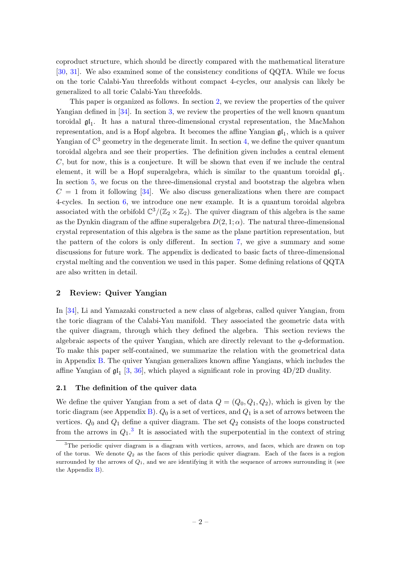coproduct structure, which should be directly compared with the mathematical literature [\[30,](#page-43-4) [31\]](#page-43-5). We also examined some of the consistency conditions of QQTA. While we focus on the toric Calabi-Yau threefolds without compact 4-cycles, our analysis can likely be generalized to all toric Calabi-Yau threefolds.

This paper is organized as follows. In section [2,](#page-3-0) we review the properties of the quiver Yangian defined in [\[34\]](#page-43-10). In section [3,](#page-7-0) we review the properties of the well known quantum toroidal  $\mathfrak{gl}_1$ . It has a natural three-dimensional crystal representation, the MacMahon representation, and is a Hopf algebra. It becomes the affine Yangian  $\mathfrak{gl}_1$ , which is a quiver Yangian of  $\mathbb{C}^3$  geometry in the degenerate limit. In section [4,](#page-11-0) we define the quiver quantum toroidal algebra and see their properties. The definition given includes a central element C, but for now, this is a conjecture. It will be shown that even if we include the central element, it will be a Hopf superalgebra, which is similar to the quantum toroidal  $\mathfrak{gl}_1$ . In section [5,](#page-19-0) we focus on the three-dimensional crystal and bootstrap the algebra when  $C = 1$  from it following [\[34\]](#page-43-10). We also discuss generalizations when there are compact 4-cycles. In section [6,](#page-32-0) we introduce one new example. It is a quantum toroidal algebra associated with the orbifold  $\mathbb{C}^3/(\mathbb{Z}_2 \times \mathbb{Z}_2)$ . The quiver diagram of this algebra is the same as the Dynkin diagram of the affine superalgebra  $D(2, 1; \alpha)$ . The natural three-dimensional crystal representation of this algebra is the same as the plane partition representation, but the pattern of the colors is only different. In section [7,](#page-35-0) we give a summary and some discussions for future work. The appendix is dedicated to basic facts of three-dimensional crystal melting and the convention we used in this paper. Some defining relations of QQTA are also written in detail.

## <span id="page-3-0"></span>2 Review: Quiver Yangian

In [\[34\]](#page-43-10), Li and Yamazaki constructed a new class of algebras, called quiver Yangian, from the toric diagram of the Calabi-Yau manifold. They associated the geometric data with the quiver diagram, through which they defined the algebra. This section reviews the algebraic aspects of the quiver Yangian, which are directly relevant to the q-deformation. To make this paper self-contained, we summarize the relation with the geometrical data in Appendix [B.](#page-37-0) The quiver Yangian generalizes known affine Yangians, which includes the affine Yangian of  $\mathfrak{gl}_1$  [\[3,](#page-41-3) [36\]](#page-43-8), which played a significant role in proving  $4D/2D$  duality.

#### <span id="page-3-1"></span>2.1 The definition of the quiver data

We define the quiver Yangian from a set of data  $Q = (Q_0, Q_1, Q_2)$ , which is given by the toric diagram (see Appendix [B\)](#page-37-0).  $Q_0$  is a set of vertices, and  $Q_1$  is a set of arrows between the vertices.  $Q_0$  and  $Q_1$  define a quiver diagram. The set  $Q_2$  consists of the loops constructed from the arrows in  $Q_1$ <sup>[3](#page-3-2)</sup>. It is associated with the superpotential in the context of string

<span id="page-3-2"></span> $3$ The periodic quiver diagram is a diagram with vertices, arrows, and faces, which are drawn on top of the torus. We denote  $Q_2$  as the faces of this periodic quiver diagram. Each of the faces is a region surrounded by the arrows of  $Q_1$ , and we are identifying it with the sequence of arrows surrounding it (see the Appendix [B\)](#page-37-0).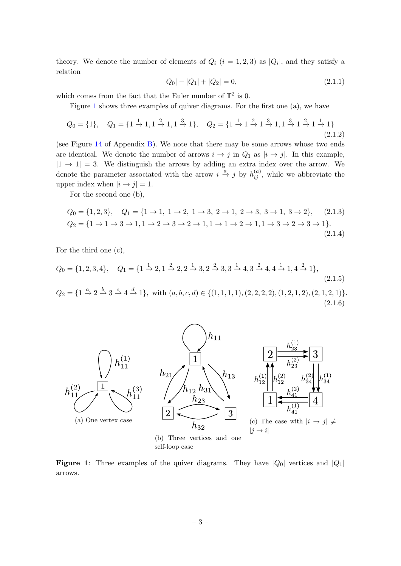theory. We denote the number of elements of  $Q_i$   $(i = 1, 2, 3)$  as  $|Q_i|$ , and they satisfy a relation

<span id="page-4-1"></span>
$$
|Q_0| - |Q_1| + |Q_2| = 0,\t\t(2.1.1)
$$

which comes from the fact that the Euler number of  $\mathbb{T}^2$  is 0.

Figure [1](#page-4-0) shows three examples of quiver diagrams. For the first one (a), we have

<span id="page-4-2"></span>
$$
Q_0 = \{1\}, \quad Q_1 = \{1 \xrightarrow{1} 1, 1 \xrightarrow{2} 1, 1 \xrightarrow{3} 1\}, \quad Q_2 = \{1 \xrightarrow{1} 1 \xrightarrow{2} 1 \xrightarrow{3} 1, 1 \xrightarrow{3} 1 \xrightarrow{2} 1 \xrightarrow{1} 1\}
$$
\n(2.1.2)

(see Figure [14](#page-40-2) of Appendix [B\)](#page-37-0). We note that there may be some arrows whose two ends are identical. We denote the number of arrows  $i \to j$  in  $Q_1$  as  $|i \to j|$ . In this example,  $|1 \rightarrow 1| = 3$ . We distinguish the arrows by adding an extra index over the arrow. We denote the parameter associated with the arrow  $i \stackrel{a}{\to} j$  by  $h_{ij}^{(a)}$ , while we abbreviate the upper index when  $|i \rightarrow j| = 1$ .

For the second one (b),

$$
Q_0 = \{1, 2, 3\}, \quad Q_1 = \{1 \to 1, 1 \to 2, 1 \to 3, 2 \to 1, 2 \to 3, 3 \to 1, 3 \to 2\}, \quad (2.1.3)
$$
  
\n
$$
Q_2 = \{1 \to 1 \to 3 \to 1, 1 \to 2 \to 3 \to 2 \to 1, 1 \to 1 \to 2 \to 1, 1 \to 3 \to 2 \to 3 \to 1\}.
$$
  
\n(2.1.4)

For the third one (c),

$$
Q_0 = \{1, 2, 3, 4\}, \quad Q_1 = \{1 \xrightarrow{1} 2, 1 \xrightarrow{2} 2, 2 \xrightarrow{1} 3, 2 \xrightarrow{2} 3, 3 \xrightarrow{1} 4, 3 \xrightarrow{2} 4, 4 \xrightarrow{1} 1, 4 \xrightarrow{2} 1\},
$$
\n(2.1.5)

 $Q_2 = \{1 \stackrel{a}{\to} 2 \stackrel{b}{\to} 3 \stackrel{c}{\to} 4 \stackrel{d}{\to} 1\}, \text{ with } (a, b, c, d) \in \{(1, 1, 1, 1), (2, 2, 2, 2), (1, 2, 1, 2), (2, 1, 2, 1)\}.$ (2.1.6)

<span id="page-4-0"></span>

**Figure 1:** Three examples of the quiver diagrams. They have  $|Q_0|$  vertices and  $|Q_1|$ arrows.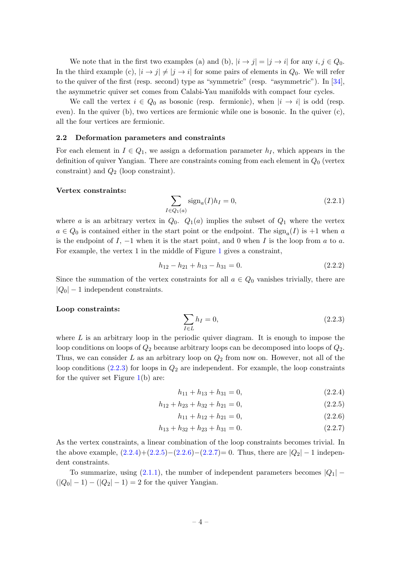We note that in the first two examples (a) and (b),  $|i \rightarrow j| = |j \rightarrow i|$  for any  $i, j \in Q_0$ . In the third example (c),  $|i \rightarrow j| \neq |j \rightarrow i|$  for some pairs of elements in  $Q_0$ . We will refer to the quiver of the first (resp. second) type as "symmetric" (resp. "asymmetric"). In [\[34\]](#page-43-10), the asymmetric quiver set comes from Calabi-Yau manifolds with compact four cycles.

We call the vertex  $i \in Q_0$  as bosonic (resp. fermionic), when  $|i \to i|$  is odd (resp. even). In the quiver  $(b)$ , two vertices are fermionic while one is bosonic. In the quiver  $(c)$ , all the four vertices are fermionic.

#### <span id="page-5-0"></span>2.2 Deformation parameters and constraints

For each element in  $I \in Q_1$ , we assign a deformation parameter  $h_I$ , which appears in the definition of quiver Yangian. There are constraints coming from each element in  $Q_0$  (vertex constraint) and  $Q_2$  (loop constraint).

#### Vertex constraints:

<span id="page-5-7"></span>
$$
\sum_{I \in Q_1(a)} sign_a(I)h_I = 0,
$$
\n(2.2.1)

where a is an arbitrary vertex in  $Q_0$ .  $Q_1(a)$  implies the subset of  $Q_1$  where the vertex  $a \in Q_0$  is contained either in the start point or the endpoint. The  $\text{sign}_a(I)$  is  $+1$  when a is the endpoint of  $I$ ,  $-1$  when it is the start point, and 0 when I is the loop from a to a. For example, the vertex 1 in the middle of Figure [1](#page-4-0) gives a constraint,

$$
h_{12} - h_{21} + h_{13} - h_{31} = 0. \tag{2.2.2}
$$

Since the summation of the vertex constraints for all  $a \in Q_0$  vanishes trivially, there are  $|Q_0|$  – 1 independent constraints.

#### Loop constraints:

<span id="page-5-2"></span>
$$
\sum_{I \in L} h_I = 0,\tag{2.2.3}
$$

where  $L$  is an arbitrary loop in the periodic quiver diagram. It is enough to impose the loop conditions on loops of  $Q_2$  because arbitrary loops can be decomposed into loops of  $Q_2$ . Thus, we can consider L as an arbitrary loop on  $Q_2$  from now on. However, not all of the loop conditions  $(2.2.3)$  for loops in  $Q_2$  are independent. For example, the loop constraints for the quiver set Figure  $1(b)$  $1(b)$  are:

<span id="page-5-4"></span><span id="page-5-3"></span>
$$
h_{11} + h_{13} + h_{31} = 0,\t\t(2.2.4)
$$

$$
h_{12} + h_{23} + h_{32} + h_{21} = 0,\t\t(2.2.5)
$$

<span id="page-5-6"></span><span id="page-5-5"></span>
$$
h_{11} + h_{12} + h_{21} = 0,\t\t(2.2.6)
$$

$$
h_{13} + h_{32} + h_{23} + h_{31} = 0. \t\t(2.2.7)
$$

As the vertex constraints, a linear combination of the loop constraints becomes trivial. In the above example,  $(2.2.4)+(2.2.5)-(2.2.6)-(2.2.7)=0$  $(2.2.4)+(2.2.5)-(2.2.6)-(2.2.7)=0$  $(2.2.4)+(2.2.5)-(2.2.6)-(2.2.7)=0$  $(2.2.4)+(2.2.5)-(2.2.6)-(2.2.7)=0$  $(2.2.4)+(2.2.5)-(2.2.6)-(2.2.7)=0$  $(2.2.4)+(2.2.5)-(2.2.6)-(2.2.7)=0$  $(2.2.4)+(2.2.5)-(2.2.6)-(2.2.7)=0$  $(2.2.4)+(2.2.5)-(2.2.6)-(2.2.7)=0$ . Thus, there are  $|Q_2|-1$  independent constraints.

<span id="page-5-1"></span>To summarize, using  $(2.1.1)$ , the number of independent parameters becomes  $|Q_1|$  –  $(|Q_0| - 1) - (|Q_2| - 1) = 2$  for the quiver Yangian.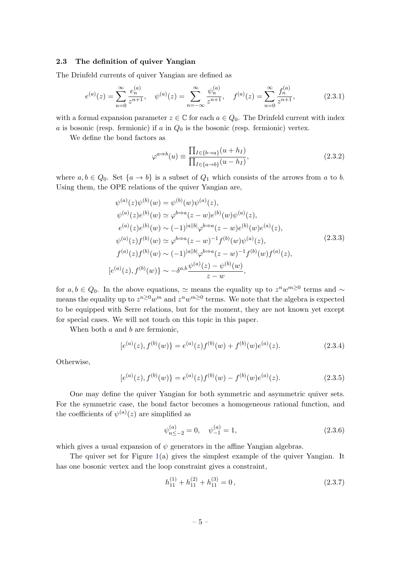## 2.3 The definition of quiver Yangian

The Drinfeld currents of quiver Yangian are defined as

$$
e^{(a)}(z) = \sum_{n=0}^{\infty} \frac{e_n^{(a)}}{z^{n+1}}, \quad \psi^{(a)}(z) = \sum_{n=-\infty}^{\infty} \frac{\psi_n^{(a)}}{z^{n+1}}, \quad f^{(a)}(z) = \sum_{n=0}^{\infty} \frac{f_n^{(a)}}{z^{n+1}},
$$
(2.3.1)

with a formal expansion parameter  $z \in \mathbb{C}$  for each  $a \in Q_0$ . The Drinfeld current with index a is bosonic (resp. fermionic) if a in  $Q_0$  is the bosonic (resp. fermionic) vertex.

We define the bond factors as

<span id="page-6-0"></span>
$$
\varphi^{a \Rightarrow b}(u) \equiv \frac{\prod_{I \in \{b \to a\}} (u + h_I)}{\prod_{I \in \{a \to b\}} (u - h_I)},\tag{2.3.2}
$$

where  $a, b \in Q_0$ . Set  $\{a \to b\}$  is a subset of  $Q_1$  which consists of the arrows from a to b. Using them, the OPE relations of the quiver Yangian are,

$$
\psi^{(a)}(z)\psi^{(b)}(w) = \psi^{(b)}(w)\psi^{(a)}(z), \n\psi^{(a)}(z)e^{(b)}(w) \simeq \varphi^{b \Rightarrow a}(z-w)e^{(b)}(w)\psi^{(a)}(z), \ne^{(a)}(z)e^{(b)}(w) \sim (-1)^{|a||b|}\varphi^{b \Rightarrow a}(z-w)e^{(b)}(w)e^{(a)}(z), \n\psi^{(a)}(z)f^{(b)}(w) \simeq \varphi^{b \Rightarrow a}(z-w)^{-1}f^{(b)}(w)\psi^{(a)}(z), \nf^{(a)}(z)f^{(b)}(w) \sim (-1)^{|a||b|}\varphi^{b \Rightarrow a}(z-w)^{-1}f^{(b)}(w)f^{(a)}(z), \n[e^{(a)}(z),f^{(b)}(w)] \sim -\delta^{a,b}\frac{\psi^{(a)}(z) - \psi^{(b)}(w)}{z-w},
$$
\n(2.3.3)

for  $a, b \in Q_0$ . In the above equations,  $\simeq$  means the equality up to  $z^n w^{m \geq 0}$  terms and  $\sim$ means the equality up to  $z^{n\geq 0}w^m$  and  $z^n w^{m\geq 0}$  terms. We note that the algebra is expected to be equipped with Serre relations, but for the moment, they are not known yet except for special cases. We will not touch on this topic in this paper.

When both *a* and *b* are fermionic,

$$
[e^{(a)}(z), f^{(b)}(w)] = e^{(a)}(z)f^{(b)}(w) + f^{(b)}(w)e^{(a)}(z).
$$
 (2.3.4)

Otherwise,

$$
[e^{(a)}(z), f^{(b)}(w)] = e^{(a)}(z)f^{(b)}(w) - f^{(b)}(w)e^{(a)}(z).
$$
 (2.3.5)

One may define the quiver Yangian for both symmetric and asymmetric quiver sets. For the symmetric case, the bond factor becomes a homogeneous rational function, and the coefficients of  $\psi^{(a)}(z)$  are simplified as

$$
\psi_{n \le -2}^{(a)} = 0, \quad \psi_{-1}^{(a)} = 1,\tag{2.3.6}
$$

which gives a usual expansion of  $\psi$  generators in the affine Yangian algebras.

The quiver set for Figure  $1(a)$  $1(a)$  gives the simplest example of the quiver Yangian. It has one bosonic vertex and the loop constraint gives a constraint,

$$
h_{11}^{(1)} + h_{11}^{(2)} + h_{11}^{(3)} = 0, \qquad (2.3.7)
$$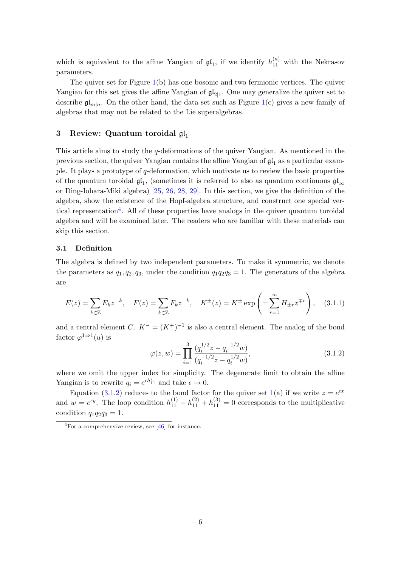which is equivalent to the affine Yangian of  $\mathfrak{gl}_1$ , if we identify  $h_{11}^{(a)}$  with the Nekrasov parameters.

The quiver set for Figure [1\(](#page-4-0)b) has one bosonic and two fermionic vertices. The quiver Yangian for this set gives the affine Yangian of  $\mathfrak{gl}_{2|1}$ . One may generalize the quiver set to describe  $\mathfrak{gl}_{m|n}$ . On the other hand, the data set such as Figure [1\(](#page-4-0)c) gives a new family of algebras that may not be related to the Lie superalgebras.

## <span id="page-7-0"></span>3 Review: Quantum toroidal  $\mathfrak{gl}_1$

This article aims to study the  $q$ -deformations of the quiver Yangian. As mentioned in the previous section, the quiver Yangian contains the affine Yangian of  $\mathfrak{gl}_1$  as a particular example. It plays a prototype of q-deformation, which motivate us to review the basic properties of the quantum toroidal  $\mathfrak{gl}_1$ , (sometimes it is referred to also as quantum continuous  $\mathfrak{gl}_\infty$ or Ding-Iohara-Miki algebra) [\[25,](#page-43-2) [26,](#page-43-11) [28,](#page-43-12) [29\]](#page-43-3). In this section, we give the definition of the algebra, show the existence of the Hopf-algebra structure, and construct one special ver-tical representation<sup>[4](#page-7-2)</sup>. All of these properties have analogs in the quiver quantum toroidal algebra and will be examined later. The readers who are familiar with these materials can skip this section.

## <span id="page-7-1"></span>3.1 Definition

The algebra is defined by two independent parameters. To make it symmetric, we denote the parameters as  $q_1, q_2, q_3$ , under the condition  $q_1q_2q_3 = 1$ . The generators of the algebra are

$$
E(z) = \sum_{k \in \mathbb{Z}} E_k z^{-k}, \quad F(z) = \sum_{k \in \mathbb{Z}} F_k z^{-k}, \quad K^{\pm}(z) = K^{\pm} \exp\left(\pm \sum_{r=1}^{\infty} H_{\pm r} z^{\mp r}\right), \quad (3.1.1)
$$

and a central element C.  $K^- = (K^+)^{-1}$  is also a central element. The analog of the bond factor  $\varphi^{1\Rightarrow 1}(u)$  is

<span id="page-7-3"></span>
$$
\varphi(z, w) = \prod_{i=1}^{3} \frac{(q_i^{1/2} z - q_i^{-1/2} w)}{(q_i^{-1/2} z - q_i^{1/2} w)},
$$
\n(3.1.2)

where we omit the upper index for simplicity. The degenerate limit to obtain the affine Yangian is to rewrite  $q_i = e^{\epsilon h_{11}^i}$  and take  $\epsilon \to 0$ .

Equation [\(3.1.2\)](#page-7-3) reduces to the bond factor for the quiver set [1\(](#page-4-0)a) if we write  $z = e^{\epsilon x}$ and  $w = e^{\epsilon y}$ . The loop condition  $h_{11}^{(1)} + h_{11}^{(2)} + h_{11}^{(3)} = 0$  corresponds to the multiplicative condition  $q_1q_2q_3 = 1$ .

<span id="page-7-2"></span> $4$ For a comprehensive review, see [\[46\]](#page-44-4) for instance.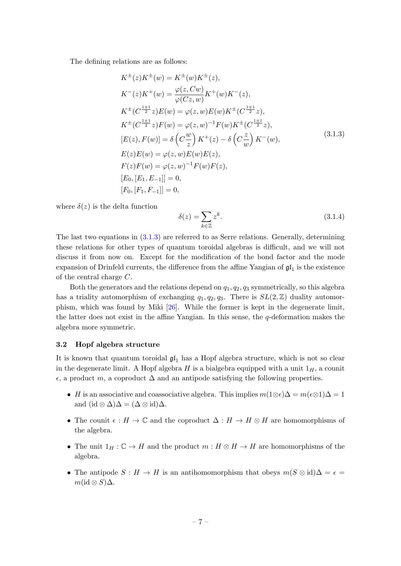The defining relations are as follows:

$$
K^{\pm}(z)K^{\pm}(w) = K^{\pm}(w)K^{\pm}(z),
$$
  
\n
$$
K^{-}(z)K^{+}(w) = \frac{\varphi(z, Cw)}{\varphi(Cz, w)}K^{+}(w)K^{-}(z),
$$
  
\n
$$
K^{\pm}(C^{\frac{1\mp 1}{2}}z)E(w) = \varphi(z, w)E(w)K^{\pm}(C^{\frac{1\mp 1}{2}}z),
$$
  
\n
$$
K^{\pm}(C^{\frac{1\pm 1}{2}}z)F(w) = \varphi(z, w)^{-1}F(w)K^{\pm}(C^{\frac{1\pm 1}{2}}z),
$$
  
\n
$$
[E(z), F(w)] = \delta(C^{\frac{w}{2}})K^{+}(z) - \delta(C^{\frac{z}{w}})K^{-}(w),
$$
  
\n
$$
E(z)E(w) = \varphi(z, w)E(w)E(z),
$$
  
\n
$$
F(z)F(w) = \varphi(z, w)^{-1}F(w)F(z),
$$
  
\n
$$
[E_0, [E_1, E_{-1}]] = 0,
$$
  
\n
$$
[F_0, [F_1, F_{-1}]] = 0,
$$

where  $\delta(z)$  is the delta function

<span id="page-8-1"></span>
$$
\delta(z) = \sum_{k \in \mathbb{Z}} z^k.
$$
\n(3.1.4)

The last two equations in [\(3.1.3\)](#page-8-1) are referred to as Serre relations. Generally, determining these relations for other types of quantum toroidal algebras is difficult, and we will not discuss it from now on. Except for the modification of the bond factor and the mode expansion of Drinfeld currents, the difference from the affine Yangian of  $\mathfrak{gl}_1$  is the existence of the central charge C.

Both the generators and the relations depend on  $q_1, q_2, q_3$  symmetrically, so this algebra has a triality automorphism of exchanging  $q_1, q_2, q_3$ . There is  $SL(2, \mathbb{Z})$  duality automorphism, which was found by Miki [\[26\]](#page-43-11). While the former is kept in the degenerate limit, the latter does not exist in the affine Yangian. In this sense, the q-deformation makes the algebra more symmetric.

#### <span id="page-8-0"></span>3.2 Hopf algebra structure

It is known that quantum toroidal  $\mathfrak{gl}_1$  has a Hopf algebra structure, which is not so clear in the degenerate limit. A Hopf algebra  $H$  is a bialgebra equipped with a unit  $1_H$ , a counit  $\epsilon$ , a product m, a coproduct  $\Delta$  and an antipode satisfying the following properties.

- H is an associative and coassociative algebra. This implies  $m(1\otimes \epsilon)\Delta = m(\epsilon\otimes 1)\Delta = 1$ and  $(id \otimes \Delta)\Delta = (\Delta \otimes id)\Delta$ .
- The counit  $\epsilon : H \to \mathbb{C}$  and the coproduct  $\Delta : H \to H \otimes H$  are homomorphisms of the algebra.
- The unit  $1_H: \mathbb{C} \to H$  and the product  $m: H \otimes H \to H$  are homomorphisms of the algebra.
- The antipode  $S : H \to H$  is an antihomomorphism that obeys  $m(S \otimes id)\Delta = \epsilon =$  $m(\mathrm{id} \otimes S)\Delta$ .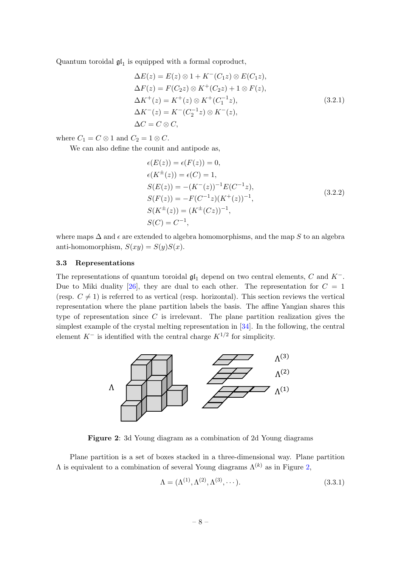Quantum toroidal  $\mathfrak{gl}_1$  is equipped with a formal coproduct,

$$
\Delta E(z) = E(z) \otimes 1 + K^{-}(C_1 z) \otimes E(C_1 z),
$$
  
\n
$$
\Delta F(z) = F(C_2 z) \otimes K^{+}(C_2 z) + 1 \otimes F(z),
$$
  
\n
$$
\Delta K^{+}(z) = K^{+}(z) \otimes K^{+}(C_1^{-1} z),
$$
  
\n
$$
\Delta K^{-}(z) = K^{-}(C_2^{-1} z) \otimes K^{-}(z),
$$
  
\n
$$
\Delta C = C \otimes C,
$$
  
\n(3.2.1)

where  $C_1 = C \otimes 1$  and  $C_2 = 1 \otimes C$ .

We can also define the counit and antipode as,

$$
\epsilon(E(z)) = \epsilon(F(z)) = 0,
$$
  
\n
$$
\epsilon(K^{\pm}(z)) = \epsilon(C) = 1,
$$
  
\n
$$
S(E(z)) = -(K^{-}(z))^{-1}E(C^{-1}z),
$$
  
\n
$$
S(F(z)) = -F(C^{-1}z)(K^{+}(z))^{-1},
$$
  
\n
$$
S(K^{\pm}(z)) = (K^{\pm}(Cz))^{-1},
$$
  
\n
$$
S(C) = C^{-1},
$$
  
\n(3.2.2)

where maps  $\Delta$  and  $\epsilon$  are extended to algebra homomorphisms, and the map S to an algebra anti-homomorphism,  $S(xy) = S(y)S(x)$ .

## <span id="page-9-0"></span>3.3 Representations

The representations of quantum toroidal  $\mathfrak{gl}_1$  depend on two central elements, C and K<sup>-</sup>. Due to Miki duality [\[26\]](#page-43-11), they are dual to each other. The representation for  $C = 1$ (resp.  $C \neq 1$ ) is referred to as vertical (resp. horizontal). This section reviews the vertical representation where the plane partition labels the basis. The affine Yangian shares this type of representation since  $C$  is irrelevant. The plane partition realization gives the simplest example of the crystal melting representation in [\[34\]](#page-43-10). In the following, the central element  $K^-$  is identified with the central charge  $K^{1/2}$  for simplicity.

<span id="page-9-1"></span>

Figure 2: 3d Young diagram as a combination of 2d Young diagrams

Plane partition is a set of boxes stacked in a three-dimensional way. Plane partition  $Λ$  is equivalent to a combination of several Young diagrams  $Λ<sup>(k)</sup>$  as in Figure [2,](#page-9-1)

$$
\Lambda = (\Lambda^{(1)}, \Lambda^{(2)}, \Lambda^{(3)}, \cdots). \tag{3.3.1}
$$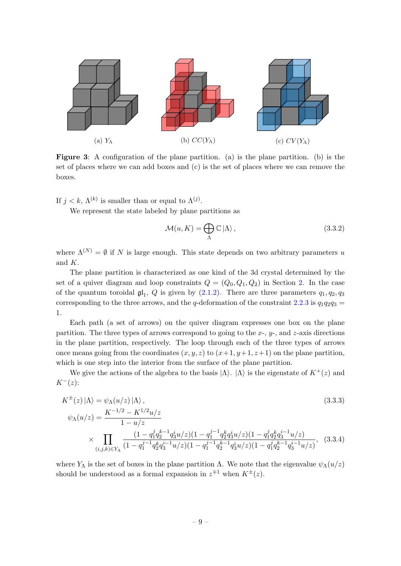<span id="page-10-0"></span>

Figure 3: A configuration of the plane partition. (a) is the plane partition. (b) is the set of places where we can add boxes and (c) is the set of places where we can remove the boxes.

If  $j < k$ ,  $\Lambda^{(k)}$  is smaller than or equal to  $\Lambda^{(j)}$ .

We represent the state labeled by plane partitions as

<span id="page-10-1"></span>
$$
\mathcal{M}(u,K) = \bigoplus_{\Lambda} \mathbb{C} |\Lambda\rangle, \qquad (3.3.2)
$$

where  $\Lambda^{(N)} = \emptyset$  if N is large enough. This state depends on two arbitrary parameters u and K.

The plane partition is characterized as one kind of the 3d crystal determined by the set of a quiver diagram and loop constraints  $Q = (Q_0, Q_1, Q_2)$  in Section [2.](#page-3-0) In the case of the quantum toroidal  $\mathfrak{gl}_1$ , Q is given by [\(2.1.2\)](#page-4-2). There are three parameters  $q_1, q_2, q_3$ corresponding to the three arrows, and the q-deformation of the constraint  $2.2.3$  is  $q_1q_2q_3$  = 1.

Each path (a set of arrows) on the quiver diagram expresses one box on the plane partition. The three types of arrows correspond to going to the x-,  $y$ -, and z-axis directions in the plane partition, respectively. The loop through each of the three types of arrows once means going from the coordinates  $(x, y, z)$  to  $(x+1, y+1, z+1)$  on the plane partition, which is one step into the interior from the surface of the plane partition.

We give the actions of the algebra to the basis  $|\Lambda\rangle$ .  $|\Lambda\rangle$  is the eigenstate of  $K^+(z)$  and  $K^{-}(z)$ :

$$
K^{\pm}(z)|\Lambda\rangle = \psi_{\Lambda}(u/z)|\Lambda\rangle, \qquad (3.3.3)
$$
  

$$
\psi_{\Lambda}(u/z) = \frac{K^{-1/2} - K^{1/2}u/z}{1 - u/z}
$$
  

$$
\times \prod_{(i,j,k)\in Y_{\Lambda}} \frac{(1 - q_1^j q_2^{k-1} q_3^i u/z)(1 - q_1^{j-1} q_2^k q_3^i u/z)(1 - q_1^j q_2^k q_3^{i-1} u/z)}{(1 - q_1^{j-1} q_2^k q_3^{i-1} u/z)(1 - q_1^{j-1} q_2^{k-1} q_3^i u/z)(1 - q_1^j q_2^{k-1} q_3^{i-1} u/z)}, \qquad (3.3.4)
$$

where  $Y_\Lambda$  is the set of boxes in the plane partition  $\Lambda$ . We note that the eigenvalue  $\psi_\Lambda(u/z)$ should be understood as a formal expansion in  $z^{\mp 1}$  when  $K^{\pm}(z)$ .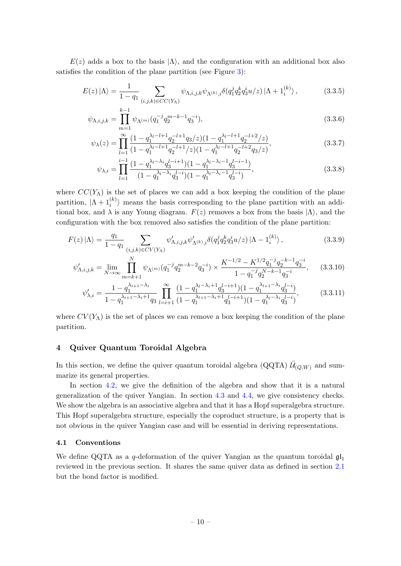$E(z)$  adds a box to the basis  $|\Lambda\rangle$ , and the configuration with an additional box also satisfies the condition of the plane partition (see Figure [3\)](#page-10-0):

$$
E(z) |\Lambda\rangle = \frac{1}{1 - q_1} \sum_{(i,j,k) \in CC(Y_{\Lambda})} \psi_{\Lambda,i,j,k} \psi_{\Lambda^{(k)},i} \delta(q_1^j q_2^k q_3^i u/z) |\Lambda + 1_i^{(k)}\rangle, \qquad (3.3.5)
$$

$$
\psi_{\Lambda,i,j,k} = \prod_{m=1}^{k-1} \psi_{\Lambda^{(m)}}(q_1^{-j} q_2^{m-k-1} q_3^{-i}),\tag{3.3.6}
$$

<span id="page-11-2"></span>
$$
\psi_{\lambda}(z) = \prod_{l=1}^{\infty} \frac{(1 - q_1^{\lambda_l - l + 1} q_2^{-l + 1} q_3 / z)(1 - q_1^{\lambda_l - l + 1} q_2^{-l + 2} / z)}{(1 - q_1^{\lambda_l - l + 1} q_2^{-l + 1} / z)(1 - q_1^{\lambda_l - l + 1} q_2^{-l + 2} q_3 / z)},
$$
\n(3.3.7)

<span id="page-11-3"></span>
$$
\psi_{\lambda,i} = \prod_{l=1}^{i-1} \frac{(1-q_1^{\lambda_l - \lambda_i} q_3^{l-i+1})(1-q_1^{\lambda_l - \lambda_i - 1} q_3^{l-i-1})}{(1-q_1^{\lambda_l - \lambda_i} q_3^{l-i})(1-q_1^{\lambda_l - \lambda_i - 1} q_3^{l-i})},
$$
\n(3.3.8)

where  $CC(Y_A)$  is the set of places we can add a box keeping the condition of the plane partition,  $|\Lambda + 1_i^{(k)}\rangle$  means the basis corresponding to the plane partition with an additional box, and  $\lambda$  is any Young diagram.  $F(z)$  removes a box from the basis  $|\Lambda\rangle$ , and the configuration with the box removed also satisfies the condition of the plane partition:

$$
F(z) | \Lambda \rangle = \frac{q_1}{1 - q_1} \sum_{(i,j,k) \in CV(Y_{\Lambda})} \psi'_{\Lambda,i,j,k} \psi'_{\Lambda^{(k)},i} \delta(q_1^j q_2^k q_3^i u/z) | \Lambda - 1_i^{(k)} \rangle, \tag{3.3.9}
$$

$$
\psi'_{\Lambda,i,j,k} = \lim_{N \to \infty} \prod_{m=k+1}^{N} \psi_{\Lambda^{(m)}}(q_1^{-j} q_2^{m-k-2} q_3^{-i}) \times \frac{K^{-1/2} - K^{1/2} q_1^{-j} q_2^{-k-1} q_3^{-i}}{1 - q_1^{-j} q_2^{N-k-1} q_3^{-i}},\tag{3.3.10}
$$

$$
\psi'_{\lambda,i} = \frac{1 - q_1^{\lambda_{i+1} - \lambda_i}}{1 - q_1^{\lambda_{i+1} - \lambda_i + 1} q_3} \prod_{l=i+1}^{\infty} \frac{(1 - q_1^{\lambda_l - \lambda_i + 1} q_3^{l-i+1})(1 - q_1^{\lambda_{l+1} - \lambda_i} q_3^{l-i})}{(1 - q_1^{\lambda_{l+1} - \lambda_i + 1} q_3^{l-i+1})(1 - q_1^{\lambda_l - \lambda_i} q_3^{l-i})},
$$
(3.3.11)

where  $CV(Y_{\Lambda})$  is the set of places we can remove a box keeping the condition of the plane partition.

## <span id="page-11-0"></span>4 Quiver Quantum Toroidal Algebra

In this section, we define the quiver quantum toroidal algebra (QQTA)  $\ddot{\mathcal{U}}_{(Q,W)}$  and summarize its general properties.

In section [4.2,](#page-12-0) we give the definition of the algebra and show that it is a natural generalization of the quiver Yangian. In section [4.3](#page-15-0) and [4.4,](#page-16-0) we give consistency checks. We show the algebra is an associative algebra and that it has a Hopf superalgebra structure. This Hopf superalgebra structure, especially the coproduct structure, is a property that is not obvious in the quiver Yangian case and will be essential in deriving representations.

#### <span id="page-11-1"></span>4.1 Conventions

We define QQTA as a q-deformation of the quiver Yangian as the quantum toroidal  $\mathfrak{gl}_1$ reviewed in the previous section. It shares the same quiver data as defined in section [2.1](#page-3-1) but the bond factor is modified.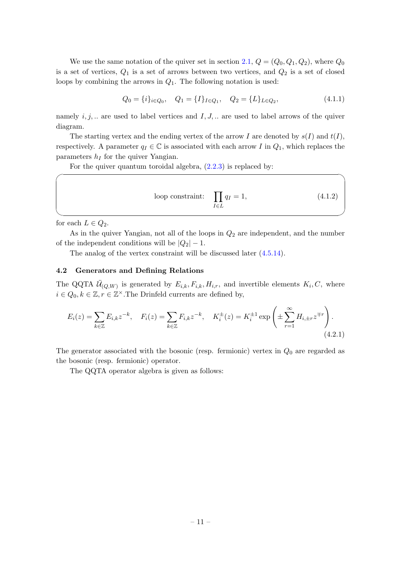We use the same notation of the quiver set in section [2.1,](#page-3-1)  $Q = (Q_0, Q_1, Q_2)$ , where  $Q_0$ is a set of vertices,  $Q_1$  is a set of arrows between two vertices, and  $Q_2$  is a set of closed loops by combining the arrows in  $Q_1$ . The following notation is used:

<span id="page-12-1"></span>
$$
Q_0 = \{i\}_{i \in Q_0}, \quad Q_1 = \{I\}_{I \in Q_1}, \quad Q_2 = \{L\}_{L \in Q_2}, \tag{4.1.1}
$$

namely  $i, j, \ldots$  are used to label vertices and  $I, J, \ldots$  are used to label arrows of the quiver diagram.

The starting vertex and the ending vertex of the arrow I are denoted by  $s(I)$  and  $t(I)$ , respectively. A parameter  $q_I \in \mathbb{C}$  is associated with each arrow I in  $Q_1$ , which replaces the parameters  $h_I$  for the quiver Yangian.

For the quiver quantum toroidal algebra, [\(2.2.3\)](#page-5-2) is replaced by:

loop constraint: 
$$
\prod_{I \in L} q_I = 1,
$$
 (4.1.2)

for each  $L \in Q_2$ .

 $\sqrt{2}$ 

As in the quiver Yangian, not all of the loops in  $Q_2$  are independent, and the number of the independent conditions will be  $|Q_2| - 1$ .

The analog of the vertex constraint will be discussed later [\(4.5.14\)](#page-19-1).

## <span id="page-12-0"></span>4.2 Generators and Defining Relations

The QQTA  $\ddot{\mathcal{U}}_{(Q,W)}$  is generated by  $E_{i,k}, F_{i,k}, H_{i,r}$ , and invertible elements  $K_i, C$ , where  $i \in Q_0, k \in \mathbb{Z}, r \in \mathbb{Z}^\times$ . The Drinfeld currents are defined by,

<span id="page-12-2"></span>
$$
E_i(z) = \sum_{k \in \mathbb{Z}} E_{i,k} z^{-k}, \quad F_i(z) = \sum_{k \in \mathbb{Z}} F_{i,k} z^{-k}, \quad K_i^{\pm}(z) = K_i^{\pm 1} \exp\left(\pm \sum_{r=1}^{\infty} H_{i,\pm r} z^{\mp r}\right).
$$
\n(4.2.1)

The generator associated with the bosonic (resp. fermionic) vertex in  $Q_0$  are regarded as the bosonic (resp. fermionic) operator.

The QQTA operator algebra is given as follows: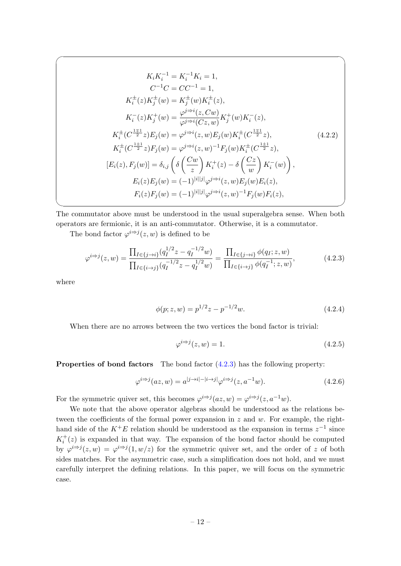$$
K_i K_i^{-1} = K_i^{-1} K_i = 1,
$$
  
\n
$$
C^{-1} C = C C^{-1} = 1,
$$
  
\n
$$
K_i^{\pm}(z) K_j^{\pm}(w) = K_j^{\pm}(w) K_i^{\pm}(z),
$$
  
\n
$$
K_i^{-}(z) K_j^{+}(w) = \frac{\varphi^{j \Rightarrow i}(z, Cw)}{\varphi^{j \Rightarrow i}(Cz, w)} K_j^{+}(w) K_i^{-}(z),
$$
  
\n
$$
K_i^{\pm}(C^{\frac{1 \mp 1}{2}} z) E_j(w) = \varphi^{j \Rightarrow i}(z, w) E_j(w) K_i^{\pm}(C^{\frac{1 \mp 1}{2}} z),
$$
  
\n
$$
K_i^{\pm}(C^{\frac{1 \pm 1}{2}} z) F_j(w) = \varphi^{j \Rightarrow i}(z, w)^{-1} F_j(w) K_i^{\pm}(C^{\frac{1 \pm 1}{2}} z),
$$
  
\n
$$
[E_i(z), F_j(w)] = \delta_{i,j} \left( \delta \left( \frac{Cw}{z} \right) K_i^{+}(z) - \delta \left( \frac{Cz}{w} \right) K_i^{-}(w) \right),
$$
  
\n
$$
E_i(z) E_j(w) = (-1)^{|i||j|} \varphi^{j \Rightarrow i}(z, w) E_j(w) E_i(z),
$$
  
\n
$$
F_i(z) F_j(w) = (-1)^{|i||j|} \varphi^{j \Rightarrow i}(z, w)^{-1} F_j(w) F_i(z),
$$

 $\sqrt{2\pi}$ 

The commutator above must be understood in the usual superalgebra sense. When both operators are fermionic, it is an anti-commutator. Otherwise, it is a commutator.

✒ ✑

The bond factor  $\varphi^{i\Rightarrow j}(z,w)$  is defined to be

$$
\varphi^{i \Rightarrow j}(z, w) = \frac{\prod_{I \in \{j \to i\}} (q_I^{1/2} z - q_I^{-1/2} w)}{\prod_{I \in \{i \to j\}} (q_I^{-1/2} z - q_I^{1/2} w)} = \frac{\prod_{I \in \{j \to i\}} \phi(q_I; z, w)}{\prod_{I \in \{i \to j\}} \phi(q_I^{-1}; z, w)},
$$
(4.2.3)

where

<span id="page-13-1"></span>
$$
\phi(p; z, w) = p^{1/2}z - p^{-1/2}w.
$$
\n(4.2.4)

When there are no arrows between the two vertices the bond factor is trivial:

<span id="page-13-2"></span><span id="page-13-0"></span>
$$
\varphi^{i \to j}(z, w) = 1. \tag{4.2.5}
$$

## Properties of bond factors The bond factor  $(4.2.3)$  has the following property:

$$
\varphi^{i \Rightarrow j}(az, w) = a^{|j \to i|-|i \to j|} \varphi^{i \Rightarrow j}(z, a^{-1}w). \tag{4.2.6}
$$

For the symmetric quiver set, this becomes  $\varphi^{i\Rightarrow j}(az,w) = \varphi^{i\Rightarrow j}(z, a^{-1}w)$ .

We note that the above operator algebras should be understood as the relations between the coefficients of the formal power expansion in  $z$  and  $w$ . For example, the righthand side of the  $K^+E$  relation should be understood as the expansion in terms  $z^{-1}$  since  $K_i^+(z)$  is expanded in that way. The expansion of the bond factor should be computed by  $\varphi^{i\Rightarrow j}(z,w) = \varphi^{i\Rightarrow j}(1,w/z)$  for the symmetric quiver set, and the order of z of both sides matches. For the asymmetric case, such a simplification does not hold, and we must carefully interpret the defining relations. In this paper, we will focus on the symmetric case.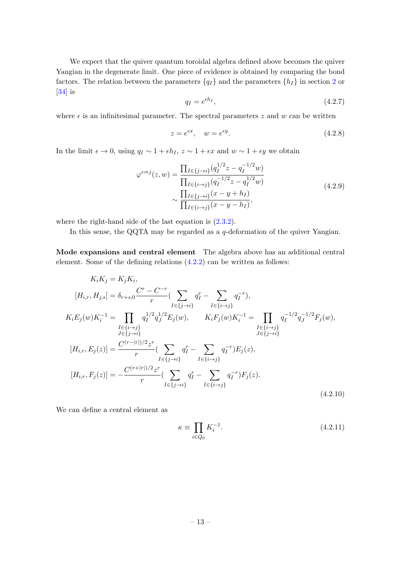We expect that the quiver quantum toroidal algebra defined above becomes the quiver Yangian in the degenerate limit. One piece of evidence is obtained by comparing the bond factors. The relation between the parameters  ${q_I}$  and the parameters  ${h_I}$  in section [2](#page-3-0) or [\[34\]](#page-43-10) is

<span id="page-14-1"></span>
$$
q_I = e^{\epsilon h_I},\tag{4.2.7}
$$

where  $\epsilon$  is an infinitesimal parameter. The spectral parameters z and w can be written

$$
z = e^{\epsilon x}, \quad w = e^{\epsilon y}.
$$
\n
$$
(4.2.8)
$$

In the limit  $\epsilon \to 0$ , using  $q_I \sim 1 + \epsilon h_I$ ,  $z \sim 1 + \epsilon x$  and  $w \sim 1 + \epsilon y$  we obtain

$$
\varphi^{i \Rightarrow j}(z, w) = \frac{\prod_{I \in \{j \to i\}} (q_I^{1/2} z - q_I^{-1/2} w)}{\prod_{I \in \{i \to j\}} (q_I^{-1/2} z - q_I^{1/2} w)} \sim \frac{\prod_{I \in \{j \to i\}} (x - y + h_I)}{\prod_{I \in \{i \to j\}} (x - y - h_I)},
$$
\n(4.2.9)

where the right-hand side of the last equation is  $(2.3.2)$ .

In this sense, the QQTA may be regarded as a q-deformation of the quiver Yangian.

Mode expansions and central element The algebra above has an additional central element. Some of the defining relations  $(4.2.2)$  can be written as follows:

$$
K_{i}K_{j} = K_{j}K_{i},
$$
\n
$$
[H_{i,r}, H_{j,s}] = \delta_{r+s,0} \frac{C^{r} - C^{-r}}{r} \left( \sum_{I \in \{j \to i\}} q_{I}^{r} - \sum_{I \in \{i \to j\}} q_{I}^{-r} \right),
$$
\n
$$
K_{i}E_{j}(w)K_{i}^{-1} = \prod_{\substack{I \in \{i \to j\} \\ J \in \{j \to i\}}} q_{I}^{1/2} q_{J}^{1/2} E_{j}(w), \qquad K_{i}F_{j}(w)K_{i}^{-1} = \prod_{\substack{I \in \{i \to j\} \\ J \in \{j \to i\}}} q_{I}^{-1/2} q_{J}^{-1/2} F_{j}(w),
$$
\n
$$
[H_{i,r}, E_{j}(z)] = \frac{C^{(r-|r|)/2} z^{r}}{r} \left( \sum_{I \in \{j \to i\}} q_{I}^{r} - \sum_{I \in \{i \to j\}} q_{I}^{-r} \right) E_{j}(z),
$$
\n
$$
[H_{i,r}, F_{j}(z)] = -\frac{C^{(r+|r|)/2} z^{r}}{r} \left( \sum_{I \in \{j \to i\}} q_{I}^{r} - \sum_{I \in \{i \to j\}} q_{I}^{-r} \right) F_{j}(z).
$$
\n(4.2.10)

We can define a central element as

<span id="page-14-0"></span>
$$
\kappa \equiv \prod_{i \in Q_0} K_i^{-1}.\tag{4.2.11}
$$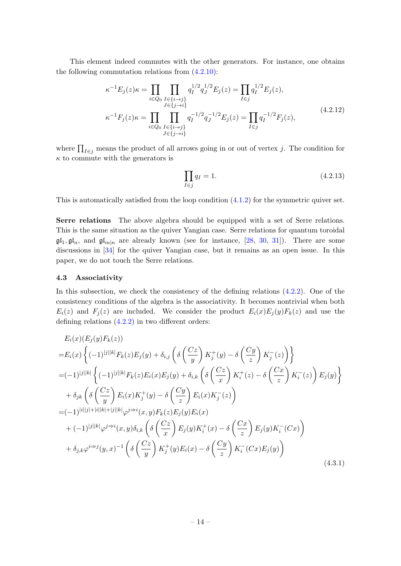This element indeed commutes with the other generators. For instance, one obtains the following commutation relations from  $(4.2.10)$ :

$$
\kappa^{-1} E_j(z) \kappa = \prod_{i \in Q_0} \prod_{\substack{I \in \{i \to j\} \\ J \in \{j \to i\}}} q_I^{1/2} q_J^{1/2} E_j(z) = \prod_{I \in j} q_I^{1/2} E_j(z),
$$
\n
$$
\kappa^{-1} F_j(z) \kappa = \prod_{i \in Q_0} \prod_{\substack{I \in \{i \to j\} \\ J \in \{j \to i\}}} q_I^{-1/2} q_J^{-1/2} E_j(z) = \prod_{I \in j} q_I^{-1/2} F_j(z),
$$
\n(4.2.12)

where  $\prod_{I\in j}$  means the product of all arrows going in or out of vertex j. The condition for  $\kappa$  to commute with the generators is

$$
\prod_{I \in j} q_I = 1. \tag{4.2.13}
$$

This is automatically satisfied from the loop condition [\(4.1.2\)](#page-12-1) for the symmetric quiver set.

Serre relations The above algebra should be equipped with a set of Serre relations. This is the same situation as the quiver Yangian case. Serre relations for quantum toroidal  $\mathfrak{gl}_1, \mathfrak{gl}_n$ , and  $\mathfrak{gl}_{m|n}$  are already known (see for instance, [\[28,](#page-43-12) [30,](#page-43-4) [31\]](#page-43-5)). There are some discussions in [\[34\]](#page-43-10) for the quiver Yangian case, but it remains as an open issue. In this paper, we do not touch the Serre relations.

## <span id="page-15-0"></span>4.3 Associativity

In this subsection, we check the consistency of the defining relations [\(4.2.2\)](#page-13-1). One of the consistency conditions of the algebra is the associativity. It becomes nontrivial when both  $E_i(z)$  and  $F_j(z)$  are included. We consider the product  $E_i(x)E_j(y)F_k(z)$  and use the defining relations  $(4.2.2)$  in two different orders:

$$
E_i(x)(E_j(y)F_k(z))
$$
  
\n
$$
=E_i(x)\left\{(-1)^{|j||k|}F_k(z)E_j(y) + \delta_{i,j}\left(\delta\left(\frac{Cz}{y}\right)K_j^+(y) - \delta\left(\frac{Cy}{z}\right)K_j^-(z)\right)\right\}
$$
  
\n
$$
=(-1)^{|j||k|}\left\{(-1)^{|j||k|}F_k(z)E_i(x)E_j(y) + \delta_{i,k}\left(\delta\left(\frac{Cz}{x}\right)K_i^+(z) - \delta\left(\frac{Cx}{z}\right)K_i^-(z)\right)E_j(y)\right\}
$$
  
\n
$$
+ \delta_{jk}\left(\delta\left(\frac{Cz}{y}\right)E_i(x)K_j^+(y) - \delta\left(\frac{Cy}{z}\right)E_i(x)K_j^-(z)\right)
$$
  
\n
$$
=(-1)^{|i||j|+|i||k|+|j||k|}\varphi^{j\Rightarrow i}(x,y)F_k(z)E_j(y)E_i(x)
$$
  
\n
$$
+(-1)^{|j||k|}\varphi^{j\Rightarrow i}(x,y)\delta_{i,k}\left(\delta\left(\frac{Cz}{x}\right)E_j(y)K_i^+(x) - \delta\left(\frac{Cx}{z}\right)E_j(y)K_i^-(Cx)\right)
$$
  
\n
$$
+ \delta_{j,k}\varphi^{i\Rightarrow j}(y,x)^{-1}\left(\delta\left(\frac{Cz}{y}\right)K_j^+(y)E_i(x) - \delta\left(\frac{Cy}{z}\right)K_i^-(Cx)E_j(y)\right)
$$
\n(4.3.1)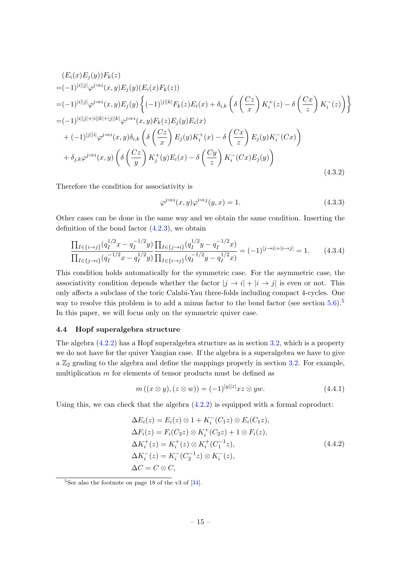$$
(E_i(x)E_j(y))F_k(z)
$$
  
= $(-1)^{|i||j|}\varphi^{j\Rightarrow i}(x, y)E_j(y)(E_i(x)F_k(z))$   
= $(-1)^{|i||j|}\varphi^{j\Rightarrow i}(x, y)E_j(y)\left\{(-1)^{|j||k|}F_k(z)E_i(x) + \delta_{i,k}\left(\delta\left(\frac{Cz}{x}\right)K_i^+(z) - \delta\left(\frac{Cx}{z}\right)K_i^-(z)\right)\right\}$   
= $(-1)^{|i||j|+|i||k|+|j||k|}\varphi^{j\Rightarrow i}(x, y)F_k(z)E_j(y)E_i(x)$   
+ $(-1)^{|j||i|}\varphi^{j\Rightarrow i}(x, y)\delta_{i,k}\left(\delta\left(\frac{Cz}{x}\right)E_j(y)K_i^+(x) - \delta\left(\frac{Cx}{z}\right)E_j(y)K_i^-(Cx)\right)$   
+ $\delta_{j,k}\varphi^{j\Rightarrow i}(x, y)\left(\delta\left(\frac{Cz}{y}\right)K_j^+(y)E_i(x) - \delta\left(\frac{Cy}{z}\right)K_i^-(Cx)E_j(y)\right)$  (4.3.2)

Therefore the condition for associativity is

<span id="page-16-4"></span><span id="page-16-3"></span>
$$
\varphi^{j \to i}(x, y)\varphi^{i \to j}(y, x) = 1. \tag{4.3.3}
$$

Other cases can be done in the same way and we obtain the same condition. Inserting the definition of the bond factor  $(4.2.3)$ , we obtain

$$
\frac{\prod_{I \in \{i \to j\}} (q_I^{1/2} x - q_I^{-1/2} y)}{\prod_{I \in \{j \to i\}} (q_I^{-1/2} x - q_I^{1/2} y)} \frac{\prod_{I \in \{j \to i\}} (q_I^{1/2} y - q_I^{-1/2} x)}{\prod_{I \in \{i \to j\}} (q_I^{-1/2} y - q_I^{1/2} x)} = (-1)^{|j \to i| + |i \to j|} = 1.
$$
\n(4.3.4)

This condition holds automatically for the symmetric case. For the asymmetric case, the associativity condition depends whether the factor  $|j \to i| + |i \to j|$  is even or not. This only affects a subclass of the toric Calabi-Yau three-folds including compact 4-cycles. One way to resolve this problem is to add a minus factor to the bond factor (see section  $5.6$  $5.6$ ).<sup>5</sup> In this paper, we will focus only on the symmetric quiver case.

#### <span id="page-16-0"></span>4.4 Hopf superalgebra structure

The algebra [\(4.2.2\)](#page-13-1) has a Hopf superalgebra structure as in section [3.2,](#page-8-0) which is a property we do not have for the quiver Yangian case. If the algebra is a superalgebra we have to give a  $\mathbb{Z}_2$  grading to the algebra and define the mappings properly in section [3.2.](#page-8-0) For example, multiplication  $m$  for elements of tensor products must be defined as

<span id="page-16-2"></span>
$$
m((x \otimes y), (z \otimes w)) = (-1)^{|y||z|} xz \otimes yw.
$$
\n
$$
(4.4.1)
$$

Using this, we can check that the algebra  $(4.2.2)$  is equipped with a formal coproduct:

$$
\Delta E_i(z) = E_i(z) \otimes 1 + K_i^-(C_1z) \otimes E_i(C_1z),
$$
  
\n
$$
\Delta F_i(z) = F_i(C_2z) \otimes K_i^+(C_2z) + 1 \otimes F_i(z),
$$
  
\n
$$
\Delta K_i^+(z) = K_i^+(z) \otimes K_i^+(C_1^{-1}z),
$$
  
\n
$$
\Delta K_i^-(z) = K_i^-(C_2^{-1}z) \otimes K_i^-(z),
$$
  
\n
$$
\Delta C = C \otimes C,
$$
  
\n(4.4.2)

<span id="page-16-1"></span> $5$ See also the footnote on page 18 of the v3 of [\[34\]](#page-43-10).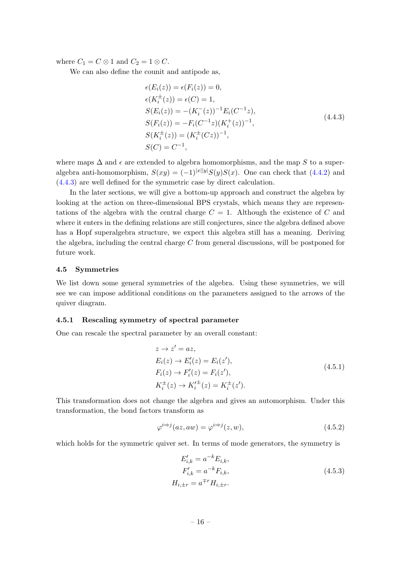where  $C_1 = C \otimes 1$  and  $C_2 = 1 \otimes C$ .

We can also define the counit and antipode as,

<span id="page-17-3"></span>
$$
\epsilon(E_i(z)) = \epsilon(F_i(z)) = 0,
$$
  
\n
$$
\epsilon(K_i^{\pm}(z)) = \epsilon(C) = 1,
$$
  
\n
$$
S(E_i(z)) = -(K_i^-(z))^{-1} E_i(C^{-1}z),
$$
  
\n
$$
S(F_i(z)) = -F_i(C^{-1}z)(K_i^+(z))^{-1},
$$
  
\n
$$
S(K_i^{\pm}(z)) = (K_i^{\pm}(Cz))^{-1},
$$
  
\n
$$
S(C) = C^{-1},
$$
  
\n(4.4.3)

where maps  $\Delta$  and  $\epsilon$  are extended to algebra homomorphisms, and the map S to a superalgebra anti-homomorphism,  $S(xy) = (-1)^{|x||y|}S(y)S(x)$ . One can check that [\(4.4.2\)](#page-16-2) and [\(4.4.3\)](#page-17-3) are well defined for the symmetric case by direct calculation.

In the later sections, we will give a bottom-up approach and construct the algebra by looking at the action on three-dimensional BPS crystals, which means they are representations of the algebra with the central charge  $C = 1$ . Although the existence of C and where it enters in the defining relations are still conjectures, since the algebra defined above has a Hopf superalgebra structure, we expect this algebra still has a meaning. Deriving the algebra, including the central charge  $C$  from general discussions, will be postponed for future work.

### <span id="page-17-0"></span>4.5 Symmetries

We list down some general symmetries of the algebra. Using these symmetries, we will see we can impose additional conditions on the parameters assigned to the arrows of the quiver diagram.

#### <span id="page-17-1"></span>4.5.1 Rescaling symmetry of spectral parameter

One can rescale the spectral parameter by an overall constant:

<span id="page-17-4"></span>
$$
z \to z' = az,\nE_i(z) \to E'_i(z) = E_i(z'),\nF_i(z) \to F'_i(z) = F_i(z'),\nK_i^{\pm}(z) \to K_i'^{\pm}(z) = K_i^{\pm}(z').
$$
\n(4.5.1)

This transformation does not change the algebra and gives an automorphism. Under this transformation, the bond factors transform as

$$
\varphi^{i \Rightarrow j}(az, aw) = \varphi^{i \Rightarrow j}(z, w), \qquad (4.5.2)
$$

<span id="page-17-2"></span>which holds for the symmetric quiver set. In terms of mode generators, the symmetry is

$$
E'_{i,k} = a^{-k} E_{i,k},
$$
  
\n
$$
F'_{i,k} = a^{-k} F_{i,k},
$$
  
\n
$$
H_{i,\pm r} = a^{\mp r} H_{i,\pm r}.
$$
\n(4.5.3)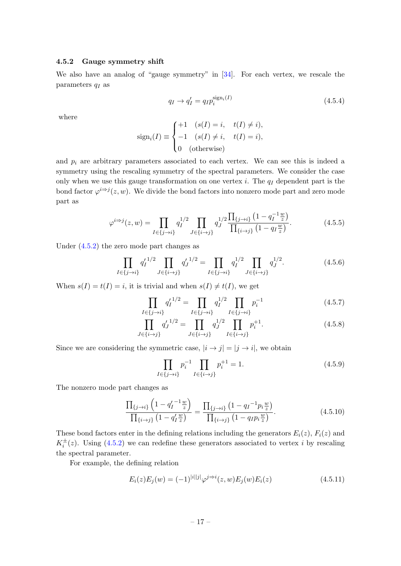## 4.5.2 Gauge symmetry shift

We also have an analog of "gauge symmetry" in [\[34\]](#page-43-10). For each vertex, we rescale the parameters  $q_I$  as

<span id="page-18-0"></span>
$$
q_I \rightarrow q_I' = q_I p_i^{\text{sign}_i(I)} \tag{4.5.4}
$$

where

$$
signi(I) \equiv \begin{cases} +1 & (s(I) = i, \quad t(I) \neq i), \\ -1 & (s(I) \neq i, \quad t(I) = i), \\ 0 & (\text{otherwise}) \end{cases}
$$

and  $p_i$  are arbitrary parameters associated to each vertex. We can see this is indeed a symmetry using the rescaling symmetry of the spectral parameters. We consider the case only when we use this gauge transformation on one vertex  $i$ . The  $q_I$  dependent part is the bond factor  $\varphi^{i\Rightarrow j}(z, w)$ . We divide the bond factors into nonzero mode part and zero mode part as

$$
\varphi^{i \to j}(z, w) = \prod_{I \in \{j \to i\}} q_I^{1/2} \prod_{J \in \{i \to j\}} q_J^{1/2} \frac{\prod_{\{j \to i\}} (1 - q_I^{-1} \frac{w}{z})}{\prod_{\{i \to j\}} (1 - q_I \frac{w}{z})}.
$$
(4.5.5)

Under [\(4.5.2\)](#page-18-0) the zero mode part changes as

$$
\prod_{I \in \{j \to i\}} q_I^{j/2} \prod_{J \in \{i \to j\}} q_J^{j/2} = \prod_{I \in \{j \to i\}} q_I^{1/2} \prod_{J \in \{i \to j\}} q_J^{1/2}.
$$
 (4.5.6)

When  $s(I) = t(I) = i$ , it is trivial and when  $s(I) \neq t(I)$ , we get

$$
\prod_{I \in \{j \to i\}} q_I^{1/2} = \prod_{I \in \{j \to i\}} q_I^{1/2} \prod_{I \in \{j \to i\}} p_i^{-1}
$$
(4.5.7)

$$
\prod_{J \in \{i \to j\}} q_J'^{1/2} = \prod_{J \in \{i \to j\}} q_J^{1/2} \prod_{I \in \{i \to j\}} p_i^{+1}.
$$
\n(4.5.8)

Since we are considering the symmetric case,  $|i \rightarrow j| = |j \rightarrow i|$ , we obtain

<span id="page-18-3"></span><span id="page-18-2"></span><span id="page-18-1"></span>
$$
\prod_{I \in \{j \to i\}} p_i^{-1} \prod_{I \in \{i \to j\}} p_i^{+1} = 1.
$$
\n(4.5.9)

The nonzero mode part changes as

$$
\frac{\prod_{\{j\to i\}}\left(1-q'_I^{-1}\frac{w}{z}\right)}{\prod_{\{i\to j\}}\left(1-q'_I\frac{w}{z}\right)} = \frac{\prod_{\{j\to i\}}\left(1-q_I^{-1}p_i\frac{w}{z}\right)}{\prod_{\{i\to j\}}\left(1-q_Ip_i\frac{w}{z}\right)}.
$$
\n(4.5.10)

These bond factors enter in the defining relations including the generators  $E_i(z)$ ,  $F_i(z)$  and  $K_i^{\pm}(z)$ . Using [\(4.5.2\)](#page-18-0) we can redefine these generators associated to vertex i by rescaling the spectral parameter.

For example, the defining relation

$$
E_i(z)E_j(w) = (-1)^{|i||j|} \varphi^{j \to i}(z, w) E_j(w) E_i(z)
$$
\n(4.5.11)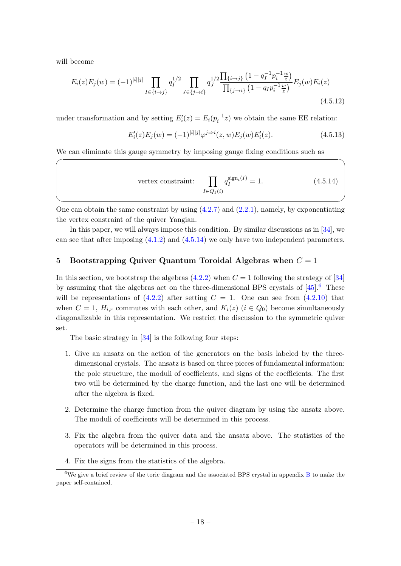will become

 $\sqrt{2}$ 

$$
E_i(z)E_j(w) = (-1)^{|i||j|} \prod_{I \in \{i \to j\}} q_I^{1/2} \prod_{J \in \{j \to i\}} q_J^{1/2} \frac{\prod_{\{i \to j\}} (1 - q_I^{-1} p_i^{-1} \frac{w}{z})}{\prod_{\{j \to i\}} (1 - q_I p_i^{-1} \frac{w}{z})} E_j(w) E_i(z)
$$
\n(4.5.12)

under transformation and by setting  $E_i'(z) = E_i(p_i^{-1}z)$  we obtain the same EE relation:

$$
E_i'(z)E_j(w) = (-1)^{|i||j|} \varphi^{j \to i}(z, w) E_j(w) E_i'(z).
$$
\n(4.5.13)

We can eliminate this gauge symmetry by imposing gauge fixing conditions such as

<span id="page-19-1"></span>vertex constraint: 
$$
\prod_{I \in Q_1(i)} q_I^{\text{sign}_i(I)} = 1.
$$
 (4.5.14)

One can obtain the same constraint by using  $(4.2.7)$  and  $(2.2.1)$ , namely, by exponentiating the vertex constraint of the quiver Yangian.

✒ ✑

In this paper, we will always impose this condition. By similar discussions as in [\[34\]](#page-43-10), we can see that after imposing  $(4.1.2)$  and  $(4.5.14)$  we only have two independent parameters.

## <span id="page-19-0"></span>5 Bootstrapping Quiver Quantum Toroidal Algebras when  $C = 1$

In this section, we bootstrap the algebras  $(4.2.2)$  when  $C = 1$  following the strategy of [\[34\]](#page-43-10) by assuming that the algebras act on the three-dimensional BPS crystals of  $[45]$ .<sup>[6](#page-19-2)</sup> These will be representations of  $(4.2.2)$  after setting  $C = 1$ . One can see from  $(4.2.10)$  that when  $C = 1$ ,  $H_{i,r}$  commutes with each other, and  $K_i(z)$   $(i \in Q_0)$  become simultaneously diagonalizable in this representation. We restrict the discussion to the symmetric quiver set.

The basic strategy in [\[34\]](#page-43-10) is the following four steps:

- 1. Give an ansatz on the action of the generators on the basis labeled by the threedimensional crystals. The ansatz is based on three pieces of fundamental information: the pole structure, the moduli of coefficients, and signs of the coefficients. The first two will be determined by the charge function, and the last one will be determined after the algebra is fixed.
- 2. Determine the charge function from the quiver diagram by using the ansatz above. The moduli of coefficients will be determined in this process.
- 3. Fix the algebra from the quiver data and the ansatz above. The statistics of the operators will be determined in this process.
- <span id="page-19-2"></span>4. Fix the signs from the statistics of the algebra.

 $6\text{We give a brief review of the toric diagram and the associated BPS crystal in appendix B to make the$  $6\text{We give a brief review of the toric diagram and the associated BPS crystal in appendix B to make the$  $6\text{We give a brief review of the toric diagram and the associated BPS crystal in appendix B to make the$ paper self-contained.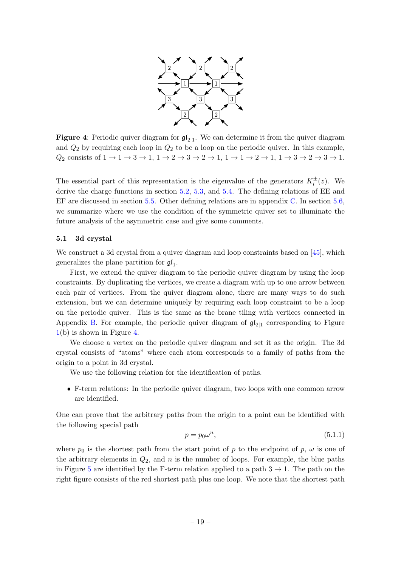<span id="page-20-1"></span>

**Figure 4**: Periodic quiver diagram for  $\mathfrak{gl}_{2|1}$ . We can determine it from the quiver diagram and  $Q_2$  by requiring each loop in  $Q_2$  to be a loop on the periodic quiver. In this example,  $Q_2$  consists of  $1 \rightarrow 1 \rightarrow 3 \rightarrow 1$ ,  $1 \rightarrow 2 \rightarrow 3 \rightarrow 2 \rightarrow 1$ ,  $1 \rightarrow 1 \rightarrow 2 \rightarrow 1$ ,  $1 \rightarrow 3 \rightarrow 2 \rightarrow 3 \rightarrow 1$ .

The essential part of this representation is the eigenvalue of the generators  $K_i^{\pm}(z)$ . We derive the charge functions in section [5.2,](#page-21-0) [5.3,](#page-23-0) and [5.4.](#page-23-1) The defining relations of EE and EF are discussed in section [5.5.](#page-26-0) Other defining relations are in appendix [C.](#page-40-0) In section [5.6,](#page-30-0) we summarize where we use the condition of the symmetric quiver set to illuminate the future analysis of the asymmetric case and give some comments.

#### <span id="page-20-0"></span>5.1 3d crystal

We construct a 3d crystal from a quiver diagram and loop constraints based on [\[45\]](#page-44-0), which generalizes the plane partition for  $\mathfrak{gl}_1$ .

First, we extend the quiver diagram to the periodic quiver diagram by using the loop constraints. By duplicating the vertices, we create a diagram with up to one arrow between each pair of vertices. From the quiver diagram alone, there are many ways to do such extension, but we can determine uniquely by requiring each loop constraint to be a loop on the periodic quiver. This is the same as the brane tiling with vertices connected in Appendix [B.](#page-37-0) For example, the periodic quiver diagram of  $\mathfrak{gl}_{2|1}$  corresponding to Figure [1\(](#page-4-0)b) is shown in Figure [4.](#page-20-1)

We choose a vertex on the periodic quiver diagram and set it as the origin. The 3d crystal consists of "atoms" where each atom corresponds to a family of paths from the origin to a point in 3d crystal.

We use the following relation for the identification of paths.

• F-term relations: In the periodic quiver diagram, two loops with one common arrow are identified.

One can prove that the arbitrary paths from the origin to a point can be identified with the following special path

$$
p = p_0 \omega^n,\tag{5.1.1}
$$

where  $p_0$  is the shortest path from the start point of p to the endpoint of p,  $\omega$  is one of the arbitrary elements in  $Q_2$ , and n is the number of loops. For example, the blue paths in Figure [5](#page-21-1) are identified by the F-term relation applied to a path  $3 \rightarrow 1$ . The path on the right figure consists of the red shortest path plus one loop. We note that the shortest path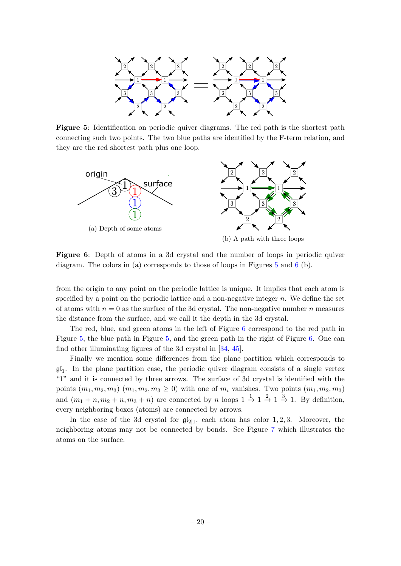<span id="page-21-1"></span>

Figure 5: Identification on periodic quiver diagrams. The red path is the shortest path connecting such two points. The two blue paths are identified by the F-term relation, and they are the red shortest path plus one loop.

<span id="page-21-2"></span>

(b) A path with three loops

Figure 6: Depth of atoms in a 3d crystal and the number of loops in periodic quiver diagram. The colors in (a) corresponds to those of loops in Figures [5](#page-21-1) and [6](#page-21-2) (b).

from the origin to any point on the periodic lattice is unique. It implies that each atom is specified by a point on the periodic lattice and a non-negative integer  $n$ . We define the set of atoms with  $n = 0$  as the surface of the 3d crystal. The non-negative number n measures the distance from the surface, and we call it the depth in the 3d crystal.

The red, blue, and green atoms in the left of Figure [6](#page-21-2) correspond to the red path in Figure [5,](#page-21-1) the blue path in Figure [5,](#page-21-1) and the green path in the right of Figure [6.](#page-21-2) One can find other illuminating figures of the 3d crystal in [\[34,](#page-43-10) [45\]](#page-44-0).

Finally we mention some differences from the plane partition which corresponds to  $\mathfrak{gl}_1$ . In the plane partition case, the periodic quiver diagram consists of a single vertex "1" and it is connected by three arrows. The surface of 3d crystal is identified with the points  $(m_1, m_2, m_3)$   $(m_1, m_2, m_3 \ge 0)$  with one of  $m_i$  vanishes. Two points  $(m_1, m_2, m_3)$ and  $(m_1 + n, m_2 + n, m_3 + n)$  are connected by n loops  $1 \stackrel{1}{\rightarrow} 1 \stackrel{2}{\rightarrow} 1 \stackrel{3}{\rightarrow} 1$ . By definition, every neighboring boxes (atoms) are connected by arrows.

<span id="page-21-0"></span>In the case of the 3d crystal for  $\mathfrak{gl}_{2|1}$ , each atom has color 1, 2, 3. Moreover, the neighboring atoms may not be connected by bonds. See Figure [7](#page-22-0) which illustrates the atoms on the surface.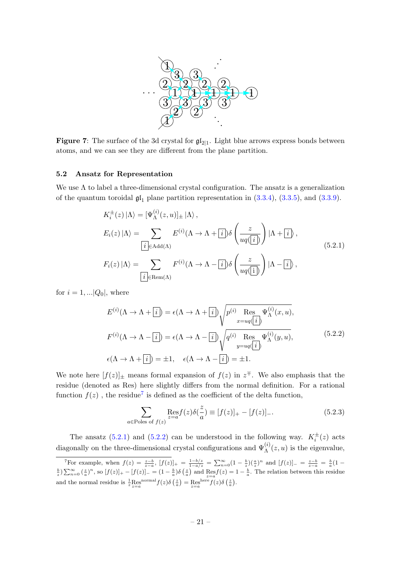<span id="page-22-0"></span>

**Figure 7**: The surface of the 3d crystal for  $\mathfrak{gl}_{2|1}$ . Light blue arrows express bonds between atoms, and we can see they are different from the plane partition.

#### 5.2 Ansatz for Representation

We use  $\Lambda$  to label a three-dimensional crystal configuration. The ansatz is a generalization of the quantum toroidal  $\mathfrak{gl}_1$  plane partition representation in  $(3.3.4), (3.3.5),$  $(3.3.4), (3.3.5),$  $(3.3.4), (3.3.5),$  $(3.3.4), (3.3.5),$  and  $(3.3.9)$ .

<span id="page-22-2"></span>
$$
K_i^{\pm}(z) | \Lambda \rangle = [\Psi_{\Lambda}^{(i)}(z, u)]_{\pm} | \Lambda \rangle ,
$$
  
\n
$$
E_i(z) | \Lambda \rangle = \sum_{\substack{i \in \text{Add}(\Lambda)}} E^{(i)}(\Lambda \to \Lambda + \boxed{i}) \delta\left(\frac{z}{uq(\boxed{i})}\right) | \Lambda + \boxed{i} \rangle ,
$$
  
\n
$$
F_i(z) | \Lambda \rangle = \sum_{\substack{i \in \text{Rem}(\Lambda)}} F^{(i)}(\Lambda \to \Lambda - \boxed{i}) \delta\left(\frac{z}{uq(\boxed{i})}\right) | \Lambda - \boxed{i} \rangle ,
$$
  
\n(5.2.1)

for  $i = 1, \dots |Q_0|$ , where

$$
E^{(i)}(\Lambda \to \Lambda + \boxed{i}) = \epsilon(\Lambda \to \Lambda + \boxed{i}) \sqrt{p^{(i)} \operatorname{Res}_{x = uq} \Psi_{\Lambda}^{(i)}(x, u)},
$$
  
\n
$$
F^{(i)}(\Lambda \to \Lambda - \boxed{i}) = \epsilon(\Lambda \to \Lambda - \boxed{i}) \sqrt{q^{(i)} \operatorname{Res}_{y = uq} \Psi_{\Lambda}^{(i)}(y, u)},
$$
  
\n
$$
\epsilon(\Lambda \to \Lambda + \boxed{i}) = \pm 1, \quad \epsilon(\Lambda \to \Lambda - \boxed{i}) = \pm 1.
$$
\n(5.2.2)

We note here  $[f(z)]_{\pm}$  means formal expansion of  $f(z)$  in  $z^{\mp}$ . We also emphasis that the residue (denoted as Res) here slightly differs from the normal definition. For a rational function  $f(z)$ , the residue<sup>[7](#page-22-1)</sup> is defined as the coefficient of the delta function,

<span id="page-22-4"></span><span id="page-22-3"></span>
$$
\sum_{a \in \text{Poles of } f(z)} \text{Res}_{z=a} f(z) \delta(\frac{z}{a}) \equiv [f(z)]_+ - [f(z)]_-. \tag{5.2.3}
$$

The ansatz [\(5.2.1\)](#page-22-2) and [\(5.2.2\)](#page-22-3) can be understood in the following way.  $K_i^{\pm}(z)$  acts diagonally on the three-dimensional crystal configurations and  $\Psi_{\Lambda}^{(i)}(z, u)$  is the eigenvalue,

<span id="page-22-1"></span><sup>&</sup>lt;sup>7</sup>For example, when  $f(z) = \frac{z-b}{z-a}$ ,  $[f(z)]_+ = \frac{1-b/z}{1-a/z} = \sum_{n=0}^{\infty} (1-\frac{b}{z}) (\frac{a}{z})^n$  and  $[f(z)]_-=\frac{z-b}{z-a}=\frac{b}{a}(1-a)^n$  $\frac{b}{z}$ )  $\sum_{n=0}^{\infty} (\frac{z}{a})^n$ , so  $[f(z)]_+ - [f(z)]_-= (1-\frac{b}{a})\delta(\frac{z}{a})$  and  $\text{Res}_{z=a} f(z)=1-\frac{b}{a}$ . The relation between this residue and the normal residue is  $\frac{1}{z}$ Res<sup>normal</sup> $f(z)\delta\left(\frac{z}{a}\right) = \text{Res}_{z=a}^{\text{here}} f(z)\delta\left(\frac{z}{a}\right)$ .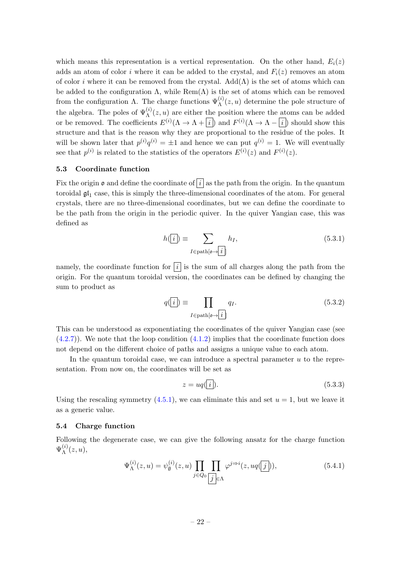which means this representation is a vertical representation. On the other hand,  $E_i(z)$ adds an atom of color i where it can be added to the crystal, and  $F_i(z)$  removes an atom of color i where it can be removed from the crystal. Add( $\Lambda$ ) is the set of atoms which can be added to the configuration  $\Lambda$ , while  $\text{Rem}(\Lambda)$  is the set of atoms which can be removed from the configuration  $\Lambda$ . The charge functions  $\Psi_{\Lambda}^{(i)}(z, u)$  determine the pole structure of the algebra. The poles of  $\Psi_{\Lambda}^{(i)}(z, u)$  are either the position where the atoms can be added or be removed. The coefficients  $E^{(i)}(A \to A + i \bar{i})$  and  $F^{(i)}(A \to A - i \bar{i})$  should show this structure and that is the reason why they are proportional to the residue of the poles. It will be shown later that  $p^{(i)}q^{(i)} = \pm 1$  and hence we can put  $q^{(i)} = 1$ . We will eventually see that  $p^{(i)}$  is related to the statistics of the operators  $E^{(i)}(z)$  and  $F^{(i)}(z)$ .

#### <span id="page-23-0"></span>5.3 Coordinate function

Fix the origin  $\rho$  and define the coordinate of  $\lceil i \rceil$  as the path from the origin. In the quantum toroidal  $\mathfrak{gl}_1$  case, this is simply the three-dimensional coordinates of the atom. For general crystals, there are no three-dimensional coordinates, but we can define the coordinate to be the path from the origin in the periodic quiver. In the quiver Yangian case, this was defined as

$$
h(\boxed{i}) \equiv \sum_{I \in \text{path}[\mathfrak{o} \to \boxed{i}]} h_I,
$$
\n(5.3.1)

namely, the coordinate function for  $\overline{\{i\}}$  is the sum of all charges along the path from the origin. For the quantum toroidal version, the coordinates can be defined by changing the sum to product as

$$
q(i) \equiv \prod_{I \in \text{path}[o \to i]} q_I.
$$
\n(5.3.2)

This can be understood as exponentiating the coordinates of the quiver Yangian case (see  $(4.2.7)$ . We note that the loop condition  $(4.1.2)$  implies that the coordinate function does not depend on the different choice of paths and assigns a unique value to each atom.

In the quantum toroidal case, we can introduce a spectral parameter  $u$  to the representation. From now on, the coordinates will be set as

<span id="page-23-2"></span>
$$
z = uq(\boxed{i}).\tag{5.3.3}
$$

Using the rescaling symmetry  $(4.5.1)$ , we can eliminate this and set  $u = 1$ , but we leave it as a generic value.

#### <span id="page-23-1"></span>5.4 Charge function

Following the degenerate case, we can give the following ansatz for the charge function  $\Psi^{(i)}_{\Lambda}$  $\Lambda^{(i)}(z,u),$ 

$$
\Psi_{\Lambda}^{(i)}(z,u) = \psi_{\emptyset}^{(i)}(z,u) \prod_{j \in Q_0} \prod_{j \in \Lambda} \varphi^{j \to i}(z, uq(\boxed{j})), \tag{5.4.1}
$$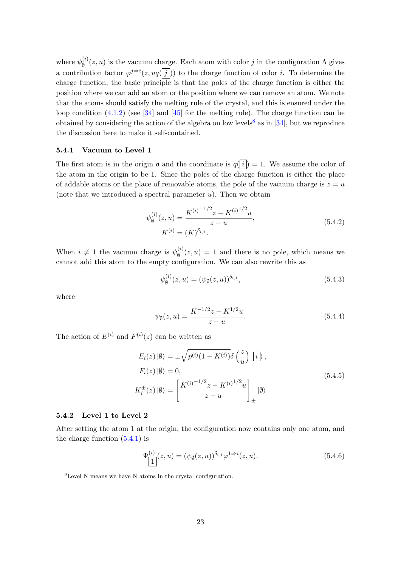where  $\psi_{\emptyset}^{(i)}$  $\int_{\phi}^{y}(z, u)$  is the vacuum charge. Each atom with color j in the configuration  $\Lambda$  gives a contribution factor  $\varphi^{j \to i}(z, uq(j))$  to the charge function of color i. To determine the charge function, the basic principle is that the poles of the charge function is either the position where we can add an atom or the position where we can remove an atom. We note that the atoms should satisfy the melting rule of the crystal, and this is ensured under the loop condition  $(4.1.2)$  (see [\[34\]](#page-43-10) and [\[45\]](#page-44-0) for the melting rule). The charge function can be obtained by considering the action of the algebra on low levels<sup>[8](#page-24-2)</sup> as in  $[34]$ , but we reproduce the discussion here to make it self-contained.

#### <span id="page-24-0"></span>5.4.1 Vacuum to Level 1

The first atom is in the origin  $\mathfrak{o}$  and the coordinate is  $q(\overline{i}) = 1$ . We assume the color of the atom in the origin to be 1. Since the poles of the charge function is either the place of addable atoms or the place of removable atoms, the pole of the vacuum charge is  $z = u$ (note that we introduced a spectral parameter  $u$ ). Then we obtain

$$
\psi_{\emptyset}^{(i)}(z, u) = \frac{K^{(i)-1/2}z - K^{(i)1/2}u}{z - u},
$$
\n
$$
K^{(i)} = (K)^{\delta_{i,1}}.
$$
\n(5.4.2)

When  $i \neq 1$  the vacuum charge is  $\psi_{\emptyset}^{(i)}$  $\phi_{\emptyset}^{(i)}(z, u) = 1$  and there is no pole, which means we cannot add this atom to the empty configuration. We can also rewrite this as

$$
\psi_{\emptyset}^{(i)}(z, u) = (\psi_{\emptyset}(z, u))^{\delta_{i, 1}}, \tag{5.4.3}
$$

where

$$
\psi_{\emptyset}(z,u) = \frac{K^{-1/2}z - K^{1/2}u}{z - u}.\tag{5.4.4}
$$

The action of  $E^{(i)}$  and  $F^{(i)}(z)$  can be written as

$$
E_i(z) |0\rangle = \pm \sqrt{p^{(i)}(1 - K^{(i)})} \delta\left(\frac{z}{u}\right) |\boxed{i}\rangle,
$$
  
\n
$$
F_i(z) |0\rangle = 0,
$$
  
\n
$$
K_i^{\pm}(z) |0\rangle = \left[\frac{K^{(i)-1/2}z - K^{(i)^{1/2}u}}{z - u}\right]_{\pm} |0\rangle
$$
\n(5.4.5)

## <span id="page-24-1"></span>5.4.2 Level 1 to Level 2

After setting the atom 1 at the origin, the configuration now contains only one atom, and the charge function [\(5.4.1\)](#page-23-2) is

$$
\Psi_{\boxed{1}}^{(i)}(z,u) = (\psi_{\emptyset}(z,u))^{\delta_{i,1}} \varphi^{1 \to i}(z,u). \tag{5.4.6}
$$

<span id="page-24-2"></span><sup>8</sup>Level N means we have N atoms in the crystal configuration.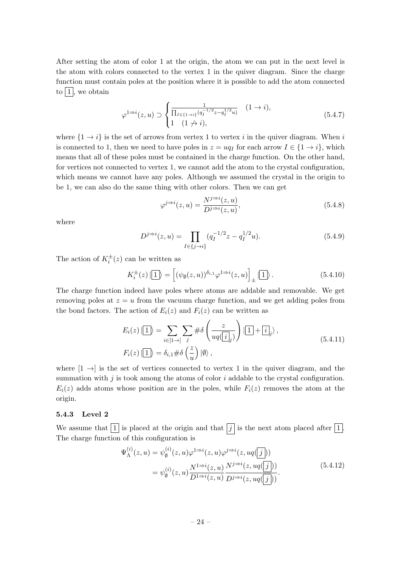After setting the atom of color 1 at the origin, the atom we can put in the next level is the atom with colors connected to the vertex 1 in the quiver diagram. Since the charge function must contain poles at the position where it is possible to add the atom connected to  $|1|$ , we obtain

$$
\varphi^{1 \Rightarrow i}(z, u) \supset \begin{cases} \frac{1}{\prod_{I \in \{1 \to i\}} (q_I^{-1/2} z - q_I^{1/2} u)} & (1 \to i), \\ 1 & (1 \nleftrightarrow i), \end{cases} (5.4.7)
$$

where  $\{1 \rightarrow i\}$  is the set of arrows from vertex 1 to vertex i in the quiver diagram. When i is connected to 1, then we need to have poles in  $z = uq_I$  for each arrow  $I \in \{1 \rightarrow i\}$ , which means that all of these poles must be contained in the charge function. On the other hand, for vertices not connected to vertex 1, we cannot add the atom to the crystal configuration, which means we cannot have any poles. Although we assumed the crystal in the origin to be 1, we can also do the same thing with other colors. Then we can get

<span id="page-25-2"></span><span id="page-25-1"></span>
$$
\varphi^{j \to i}(z, u) = \frac{N^{j \to i}(z, u)}{D^{j \to i}(z, u)},
$$
\n(5.4.8)

where

$$
D^{j \to i}(z, u) = \prod_{I \in \{j \to i\}} (q_I^{-1/2} z - q_I^{1/2} u). \tag{5.4.9}
$$

The action of  $K_i^{\pm}(z)$  can be written as

$$
K_i^{\pm}(z) \left| \boxed{1} \right\rangle = \left[ (\psi_{\emptyset}(z, u))^{\delta_{i,1}} \varphi^{1 \Rightarrow i}(z, u) \right]_{\pm} \left| \boxed{1} \right\rangle. \tag{5.4.10}
$$

The charge function indeed have poles where atoms are addable and removable. We get removing poles at  $z = u$  from the vacuum charge function, and we get adding poles from the bond factors. The action of  $E_i(z)$  and  $F_i(z)$  can be written as

$$
E_i(z) |1\rangle = \sum_{i \in [1 \to]} \sum_j \# \delta \left( \frac{z}{uq(\lfloor i \rfloor_j)} \right) |1\rangle + \lfloor i \rfloor_j \rangle ,
$$
  
\n
$$
F_i(z) |1\rangle = \delta_{i,1} \# \delta \left( \frac{z}{u} \right) |0\rangle ,
$$
\n(5.4.11)

where  $[1 \rightarrow]$  is the set of vertices connected to vertex 1 in the quiver diagram, and the summation with  $j$  is took among the atoms of color  $i$  addable to the crystal configuration.  $E_i(z)$  adds atoms whose position are in the poles, while  $F_i(z)$  removes the atom at the origin.

## <span id="page-25-0"></span>5.4.3 Level 2

We assume that  $\boxed{1}$  is placed at the origin and that  $\boxed{j}$  is the next atom placed after  $\boxed{1}$ . The charge function of this configuration is

$$
\Psi_{\Lambda}^{(i)}(z, u) = \psi_{\emptyset}^{(i)}(z, u)\varphi^{1 \to i}(z, u)\varphi^{j \to i}(z, uq(j))) \n= \psi_{\emptyset}^{(i)}(z, u)\frac{N^{1 \to i}(z, u)}{D^{1 \to i}(z, u)}\frac{N^{j \to i}(z, uq(j))}{D^{j \to i}(z, uq(j))}.
$$
\n(5.4.12)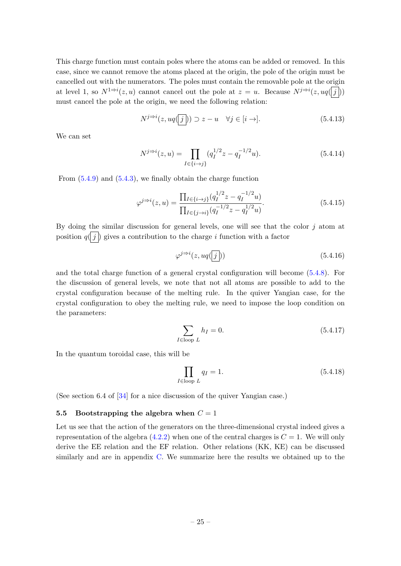This charge function must contain poles where the atoms can be added or removed. In this case, since we cannot remove the atoms placed at the origin, the pole of the origin must be cancelled out with the numerators. The poles must contain the removable pole at the origin at level 1, so  $N^{1\Rightarrow i}(z, u)$  cannot cancel out the pole at  $z = u$ . Because  $N^{j\Rightarrow i}(z, uq(\overline{j}))$ must cancel the pole at the origin, we need the following relation:

$$
N^{j \to i}(z, uq(j)) \supset z - u \quad \forall j \in [i \to]. \tag{5.4.13}
$$

We can set

$$
N^{j \Rightarrow i}(z, u) = \prod_{I \in \{i \to j\}} (q_I^{1/2} z - q_I^{-1/2} u). \tag{5.4.14}
$$

From  $(5.4.9)$  and  $(5.4.3)$ , we finally obtain the charge function

$$
\varphi^{j \to i}(z, u) = \frac{\prod_{I \in \{i \to j\}} (q_I^{1/2} z - q_I^{-1/2} u)}{\prod_{I \in \{j \to i\}} (q_I^{-1/2} z - q_I^{1/2} u)}.
$$
\n(5.4.15)

By doing the similar discussion for general levels, one will see that the color  $j$  atom at position  $q(j)$  gives a contribution to the charge i function with a factor

<span id="page-26-1"></span>
$$
\varphi^{j \to i}(z, uq(\boxed{j})) \tag{5.4.16}
$$

and the total charge function of a general crystal configuration will become [\(5.4.8\)](#page-25-2). For the discussion of general levels, we note that not all atoms are possible to add to the crystal configuration because of the melting rule. In the quiver Yangian case, for the crystal configuration to obey the melting rule, we need to impose the loop condition on the parameters:

$$
\sum_{I \in \text{loop } L} h_I = 0. \tag{5.4.17}
$$

In the quantum toroidal case, this will be

<span id="page-26-2"></span>
$$
\prod_{I \in \text{loop } L} q_I = 1. \tag{5.4.18}
$$

<span id="page-26-0"></span>(See section 6.4 of [\[34\]](#page-43-10) for a nice discussion of the quiver Yangian case.)

#### 5.5 Bootstrapping the algebra when  $C = 1$

Let us see that the action of the generators on the three-dimensional crystal indeed gives a representation of the algebra  $(4.2.2)$  when one of the central charges is  $C = 1$ . We will only derive the EE relation and the EF relation. Other relations (KK, KE) can be discussed similarly and are in appendix [C.](#page-40-0) We summarize here the results we obtained up to the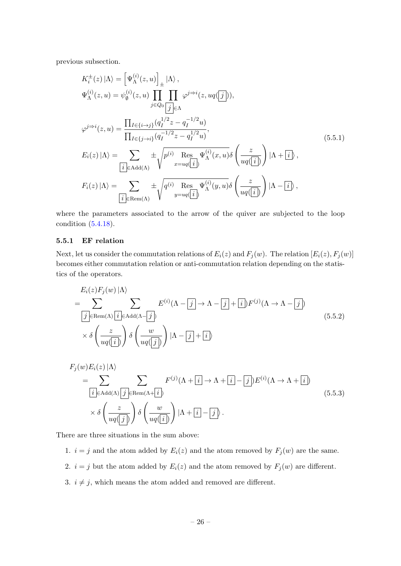previous subsection.

$$
K_{i}^{\pm}(z) | \Lambda \rangle = \left[ \Psi_{\Lambda}^{(i)}(z, u) \right]_{\pm} | \Lambda \rangle ,
$$
  
\n
$$
\Psi_{\Lambda}^{(i)}(z, u) = \psi_{\emptyset}^{(i)}(z, u) \prod_{j \in Q_{0}} \prod_{j \in \Lambda} \varphi^{j \Rightarrow i}(z, uq(j)) ,
$$
  
\n
$$
\varphi^{j \Rightarrow i}(z, u) = \frac{\prod_{I \in \{i \to j\}} (q_{I}^{1/2} z - q_{I}^{-1/2} u)}{\prod_{I \in \{j \to i\}} (q_{I}^{-1/2} z - q_{I}^{1/2} u)},
$$
  
\n
$$
E_{i}(z) | \Lambda \rangle = \sum_{\substack{i \in \Lambda} \text{odd}(\Lambda)} \pm \sqrt{p^{(i)} \operatorname{Res}_{x = uq(\overline{i})} \Psi_{\Lambda}^{(i)}(x, u)} \delta \left( \frac{z}{uq(\overline{i})} \right) | \Lambda + \overline{i} \rangle ,
$$
  
\n
$$
F_{i}(z) | \Lambda \rangle = \sum_{\substack{i \in \Lambda} \text{even}(\Lambda)} \pm \sqrt{q^{(i)} \operatorname{Res}_{y = uq(\overline{i})} \Psi_{\Lambda}^{(i)}(y, u)} \delta \left( \frac{z}{uq(\overline{i})} \right) | \Lambda - \overline{i} \rangle ,
$$
  
\n(5.5.1)

where the parameters associated to the arrow of the quiver are subjected to the loop condition [\(5.4.18\)](#page-26-2).

#### <span id="page-27-0"></span>5.5.1 EF relation

Next, let us consider the commutation relations of  $E_i(z)$  and  $F_j(w)$ . The relation  $[E_i(z), F_j(w)]$ becomes either commutation relation or anti-commutation relation depending on the statistics of the operators.

<span id="page-27-1"></span>Ei(z)F<sup>j</sup> (w)|Λi = X j ∈Rem(Λ) X i ∈Add(Λ− j ) E (i) (Λ − j → Λ − j + i )F (j) (Λ → Λ − j ) × δ z uq( i ) ! δ w uq( j ) ! |Λ − j + i i (5.5.2)

<span id="page-27-2"></span>
$$
F_j(w)E_i(z) | \Lambda \rangle
$$
  
= 
$$
\sum_{\substack{i \in \text{Add}(\Lambda) \\ \downarrow j}} \sum_{\substack{j \in \text{Rem}(\Lambda + \lfloor i \rfloor) \\ \downarrow k}} F^{(j)}(\Lambda + \lfloor i \rfloor \to \Lambda + \lfloor i \rfloor - \lfloor j \rfloor) E^{(i)}(\Lambda \to \Lambda + \lfloor i \rfloor)
$$
  

$$
\times \delta \left( \frac{z}{uq(\lfloor i \rfloor)} \right) \delta \left( \frac{w}{uq(\lfloor i \rfloor)} \right) | \Lambda + \lfloor i \rfloor - \lfloor j \rfloor.
$$
 (5.5.3)

There are three situations in the sum above:

- 1.  $i = j$  and the atom added by  $E_i(z)$  and the atom removed by  $F_j(w)$  are the same.
- 2.  $i = j$  but the atom added by  $E_i(z)$  and the atom removed by  $F_j(w)$  are different.
- 3.  $i \neq j$ , which means the atom added and removed are different.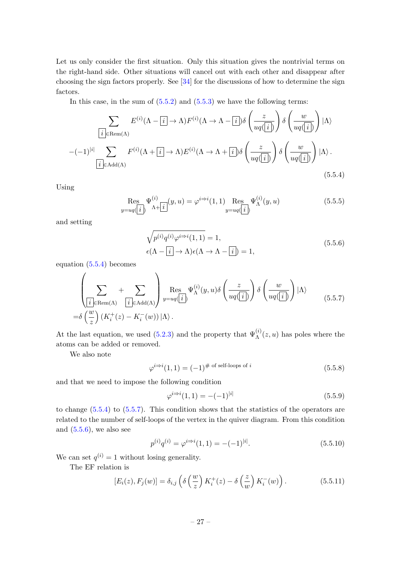Let us only consider the first situation. Only this situation gives the nontrivial terms on the right-hand side. Other situations will cancel out with each other and disappear after choosing the sign factors properly. See [\[34\]](#page-43-10) for the discussions of how to determine the sign factors.

In this case, in the sum of  $(5.5.2)$  and  $(5.5.3)$  we have the following terms:

$$
\sum_{\substack{\boxed{i} \in \text{Rem}(\Lambda)}} E^{(i)}(\Lambda - \boxed{i} \to \Lambda) F^{(i)}(\Lambda \to \Lambda - \boxed{i}) \delta\left(\frac{z}{uq(\boxed{i})}\right) \delta\left(\frac{w}{uq(\boxed{i})}\right) |\Lambda\rangle
$$

$$
-(-1)^{|i|} \sum_{\substack{\boxed{i} \in \text{Add}(\Lambda)}} F^{(i)}(\Lambda + \boxed{i} \to \Lambda) E^{(i)}(\Lambda \to \Lambda + \boxed{i}) \delta\left(\frac{z}{uq(\boxed{i})}\right) \delta\left(\frac{w}{uq(\boxed{i})}\right) |\Lambda\rangle.
$$
(5.5.4)

Using

$$
\operatorname{Res}_{y=uq(\begin{bmatrix}i\\i\end{bmatrix})}\Psi^{(i)}_{\Lambda+[\underline{i}]}(y,u) = \varphi^{i\Rightarrow i}(1,1)\operatorname{Res}_{y=uq(\begin{bmatrix}i\\i\end{bmatrix})}\Psi^{(i)}_{\Lambda}(y,u)
$$
(5.5.5)

and setting

<span id="page-28-3"></span><span id="page-28-2"></span><span id="page-28-1"></span>
$$
\sqrt{p^{(i)}q^{(i)}\varphi^{i\Rightarrow i}(1,1)} = 1,
$$
\n
$$
\epsilon(\Lambda - \lfloor i \rfloor \to \Lambda)\epsilon(\Lambda \to \Lambda - \lfloor i \rfloor) = 1,
$$
\n(5.5.6)

equation [\(5.5.4\)](#page-28-1) becomes

$$
\left(\sum_{\substack{\overline{i} \in \text{Rem}(\Lambda) \\ \overline{j} \in \text{Rem}(\Lambda)}} + \sum_{\substack{\overline{i} \in \text{Add}(\Lambda) \\ \overline{j} \in \text{Add}(\Lambda)}} \right) \underset{y = uq(\overline{\underline{i}})}{\text{Res}} \Psi_{\Lambda}^{(i)}(y, u) \delta\left(\frac{z}{uq(\overline{\underline{i}})}\right) \delta\left(\frac{w}{uq(\overline{\underline{i}})}\right) |\Lambda\rangle \tag{5.5.7}
$$
\n
$$
= \delta\left(\frac{w}{z}\right) \left(K_i^+(z) - K_i^-(w)\right) |\Lambda\rangle.
$$

At the last equation, we used [\(5.2.3\)](#page-22-4) and the property that  $\Psi_{\Lambda}^{(i)}(z, u)$  has poles where the atoms can be added or removed.

We also note

$$
\varphi^{i \Rightarrow i}(1,1) = (-1)^{\# \text{ of self-loops of } i}
$$
\n(5.5.8)

and that we need to impose the following condition

$$
\varphi^{i \to i}(1,1) = -(-1)^{|i|} \tag{5.5.9}
$$

to change  $(5.5.4)$  to  $(5.5.7)$ . This condition shows that the statistics of the operators are related to the number of self-loops of the vertex in the quiver diagram. From this condition and  $(5.5.6)$ , we also see

$$
p^{(i)}q^{(i)} = \varphi^{i \to i}(1,1) = -(-1)^{|i|}.
$$
\n(5.5.10)

We can set  $q^{(i)} = 1$  without losing generality.

<span id="page-28-0"></span>The EF relation is

$$
[E_i(z), F_j(w)] = \delta_{i,j} \left( \delta \left( \frac{w}{z} \right) K_i^+(z) - \delta \left( \frac{z}{w} \right) K_i^-(w) \right). \tag{5.5.11}
$$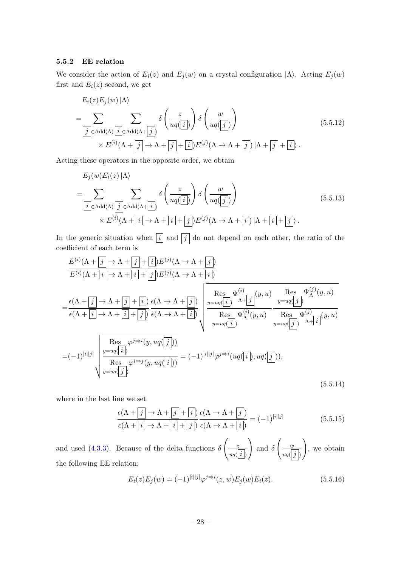## 5.5.2 EE relation

We consider the action of  $E_i(z)$  and  $E_j(w)$  on a crystal configuration  $|\Lambda\rangle$ . Acting  $E_j(w)$ first and  $E_i(z)$  second, we get

$$
E_i(z)E_j(w) |\Lambda\rangle
$$
  
= 
$$
\sum_{\substack{j \in \text{Add}(\Lambda) \text{ is } j \in \text{Add}(\Lambda + \lfloor j \rfloor)}} \delta\left(\frac{z}{uq(\lfloor i \rfloor)}\right) \delta\left(\frac{w}{uq(\lfloor j \rfloor)}\right)
$$
  
\$\times E^{(i)}(\Lambda + \lfloor j \rfloor \to \Lambda + \lfloor j \rfloor + \lfloor i \rfloor)E^{(j)}(\Lambda \to \Lambda + \lfloor j \rfloor + \lfloor i \rfloor) \Lambda + \lfloor j \rfloor + \lfloor i \rfloor\$}.  
(5.5.12)

Acting these operators in the opposite order, we obtain

$$
E_j(w)E_i(z) |\Lambda\rangle
$$
  
= 
$$
\sum_{\substack{\vec{i} \in \text{Add}(\Lambda) \\ \times \vec{E}^{(i)}(\Lambda + [\vec{i}] \to \Lambda + [\vec{i}] + [\vec{j}])}} \delta\left(\frac{w}{uq(\vec{i})}\right) \delta\left(\frac{w}{uq(\vec{j})}\right)
$$
(5.5.13)  

$$
\times E^{(i)}(\Lambda + [\vec{i} \to \Lambda + [\vec{i}] + [\vec{j}]) E^{(j)}(\Lambda \to \Lambda + [\vec{i}] + [\vec{j}]).
$$

In the generic situation when  $\boxed{i}$  and  $\boxed{j}$  do not depend on each other, the ratio of the coefficient of each term is

$$
\frac{E^{(i)}(\Lambda + \boxed{j} \rightarrow \Lambda + \boxed{j} + \boxed{i})E^{(j)}(\Lambda \rightarrow \Lambda + \boxed{j})}{E^{(i)}(\Lambda + \boxed{i} \rightarrow \Lambda + \boxed{i} + \boxed{j})E^{(j)}(\Lambda \rightarrow \Lambda + \boxed{i})}
$$
\n
$$
= \frac{\epsilon(\Lambda + \boxed{j} \rightarrow \Lambda + \boxed{j} + \boxed{i})\epsilon(\Lambda \rightarrow \Lambda + \boxed{j})}{\epsilon(\Lambda + \boxed{i} \rightarrow \Lambda + \boxed{i} + \boxed{j})\epsilon(\Lambda \rightarrow \Lambda + \boxed{j})} \sqrt{\frac{\text{Res}}{\text{Res}_{y=uq}(\boxed{i})\text{Res}_{\Lambda}(\boxed{y,u)}}\frac{\Psi^{(i)}_{\Lambda}(y,u)}{E_{y=uq}(\boxed{j})\text{Res}_{y=uq}(\boxed{j})}\frac{\Psi^{(j)}_{\Lambda}(y,u)}{\text{Res}_{y=uq}(\boxed{j})}\frac{\text{Res}_{y=uq}(\boxed{j})\text{Res}_{\Lambda}(\boxed{y,u})}{\Lambda + \boxed{i}(\boxed{j},u)}
$$
\n
$$
= (-1)^{|i||j|} \sqrt{\frac{\text{Res}_{y=uq}(\boxed{i})}{\text{Res}_{y=uq}(\boxed{j})}}\varphi^{j \Rightarrow i}(y, uq(\boxed{j})) = (-1)^{|i||j|} \varphi^{j \Rightarrow i}(uq(\boxed{i}), uq(\boxed{j})),
$$
\n(5.5.14)

where in the last line we set

<span id="page-29-0"></span>
$$
\frac{\epsilon(\Lambda + \boxed{j} \to \Lambda + \boxed{j} + \boxed{i})}{\epsilon(\Lambda + \boxed{i} \to \Lambda + \boxed{i} + \boxed{j}} \frac{\epsilon(\Lambda \to \Lambda + \boxed{j})}{\epsilon(\Lambda \to \Lambda + \boxed{i})} = (-1)^{|\vec{i}| |\vec{j}|} \tag{5.5.15}
$$

and used [\(4.3.3\)](#page-16-3). Because of the delta functions  $\delta$  $\begin{array}{c} \begin{array}{c} \end{array} \end{array}$  $uq($   $i$   $)$  $\setminus$ and  $\delta$  $\begin{pmatrix} x \\ y \end{pmatrix}$  $uq(j)$  $\setminus$ , we obtain the following EE relation:

$$
E_i(z)E_j(w) = (-1)^{|i||j|} \varphi^{j \to i}(z, w)E_j(w)E_i(z).
$$
\n(5.5.16)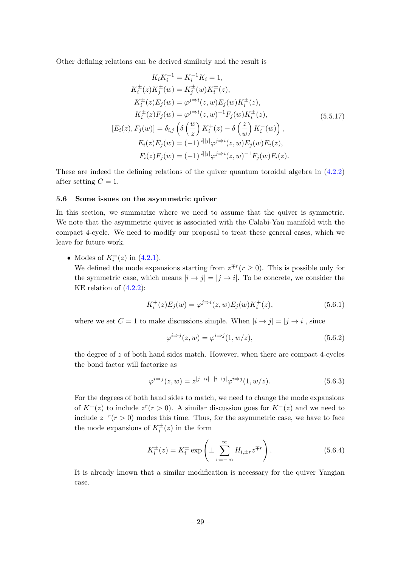Other defining relations can be derived similarly and the result is

$$
K_i K_i^{-1} = K_i^{-1} K_i = 1,
$$
  
\n
$$
K_i^{\pm}(z) K_j^{\pm}(w) = K_j^{\pm}(w) K_i^{\pm}(z),
$$
  
\n
$$
K_i^{\pm}(z) E_j(w) = \varphi^{j \Rightarrow i}(z, w) E_j(w) K_i^{\pm}(z),
$$
  
\n
$$
K_i^{\pm}(z) F_j(w) = \varphi^{j \Rightarrow i}(z, w)^{-1} F_j(w) K_i^{\pm}(z),
$$
  
\n
$$
[E_i(z), F_j(w)] = \delta_{i,j} \left( \delta \left( \frac{w}{z} \right) K_i^{\pm}(z) - \delta \left( \frac{z}{w} \right) K_i^{\pm}(w) \right),
$$
  
\n
$$
E_i(z) E_j(w) = (-1)^{|i||j|} \varphi^{j \Rightarrow i}(z, w) E_j(w) E_i(z),
$$
  
\n
$$
F_i(z) F_j(w) = (-1)^{|i||j|} \varphi^{j \Rightarrow i}(z, w)^{-1} F_j(w) F_i(z).
$$
  
\n(5.5.17)

These are indeed the defining relations of the quiver quantum toroidal algebra in [\(4.2.2\)](#page-13-1) after setting  $C = 1$ .

#### <span id="page-30-0"></span>5.6 Some issues on the asymmetric quiver

In this section, we summarize where we need to assume that the quiver is symmetric. We note that the asymmetric quiver is associated with the Calabi-Yau manifold with the compact 4-cycle. We need to modify our proposal to treat these general cases, which we leave for future work.

• Modes of  $K_i^{\pm}(z)$  in [\(4.2.1\)](#page-12-2).

We defined the mode expansions starting from  $z^{\mp r}$  ( $r \ge 0$ ). This is possible only for the symmetric case, which means  $|i \rightarrow j| = |j \rightarrow i|$ . To be concrete, we consider the KE relation of [\(4.2.2\)](#page-13-1):

$$
K_i^+(z)E_j(w) = \varphi^{j \to i}(z, w)E_j(w)K_i^+(z), \tag{5.6.1}
$$

where we set  $C = 1$  to make discussions simple. When  $|i \rightarrow j| = |j \rightarrow i|$ , since

$$
\varphi^{i \Rightarrow j}(z, w) = \varphi^{i \Rightarrow j}(1, w/z), \tag{5.6.2}
$$

the degree of z of both hand sides match. However, when there are compact 4-cycles the bond factor will factorize as

$$
\varphi^{i \to j}(z, w) = z^{|j \to i| - |i \to j|} \varphi^{i \to j}(1, w/z). \tag{5.6.3}
$$

For the degrees of both hand sides to match, we need to change the mode expansions of  $K^+(z)$  to include  $z^r(r>0)$ . A similar discussion goes for  $K^-(z)$  and we need to include  $z^{-r}(r > 0)$  modes this time. Thus, for the asymmetric case, we have to face the mode expansions of  $K_i^{\pm}(z)$  in the form

$$
K_i^{\pm}(z) = K_i^{\pm} \exp\left(\pm \sum_{r=-\infty}^{\infty} H_{i,\pm r} z^{\mp r}\right).
$$
 (5.6.4)

It is already known that a similar modification is necessary for the quiver Yangian case.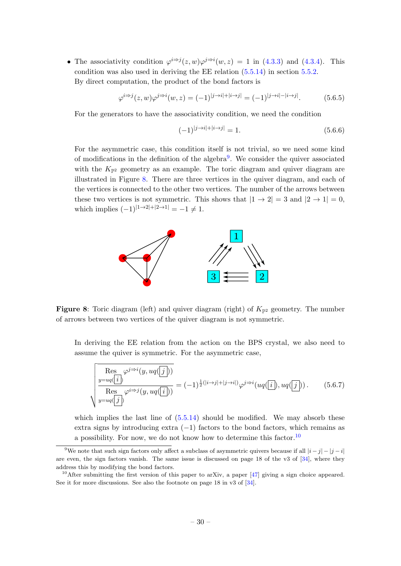• The associativity condition  $\varphi^{i\Rightarrow j}(z,w)\varphi^{j\Rightarrow i}(w,z) = 1$  in [\(4.3.3\)](#page-16-3) and [\(4.3.4\)](#page-16-4). This condition was also used in deriving the EE relation [\(5.5.14\)](#page-29-0) in section [5.5.2.](#page-28-0) By direct computation, the product of the bond factors is

$$
\varphi^{i \to j}(z, w)\varphi^{j \to i}(w, z) = (-1)^{|j \to i| + |i \to j|} = (-1)^{|j \to i| - |i \to j|}. \tag{5.6.5}
$$

For the generators to have the associativity condition, we need the condition

$$
(-1)^{|j \to i| + |i \to j|} = 1.
$$
\n(5.6.6)

For the asymmetric case, this condition itself is not trivial, so we need some kind of modifications in the definition of the algebra<sup>[9](#page-31-0)</sup>. We consider the quiver associated with the  $K_{\mathbb{P}^2}$  geometry as an example. The toric diagram and quiver diagram are illustrated in Figure [8.](#page-31-1) There are three vertices in the quiver diagram, and each of the vertices is connected to the other two vertices. The number of the arrows between these two vertices is not symmetric. This shows that  $|1 \rightarrow 2| = 3$  and  $|2 \rightarrow 1| = 0$ , which implies  $(-1)^{|1 \to 2| + |2 \to 1|} = -1 \neq 1$ .

<span id="page-31-1"></span>

**Figure 8:** Toric diagram (left) and quiver diagram (right) of  $K_{\mathbb{P}^2}$  geometry. The number of arrows between two vertices of the quiver diagram is not symmetric.

In deriving the EE relation from the action on the BPS crystal, we also need to assume the quiver is symmetric. For the asymmetric case,

$$
\sqrt{\frac{\text{Res}}{\text{Res}_{y=uq}(\boxed{i})}\varphi^{j\Rightarrow i}(y, uq(\boxed{j}))}{\text{Res}_{y=uq}(\boxed{j})}\varphi^{i\Rightarrow j}(y, uq(\boxed{i}))} = (-1)^{\frac{1}{2}(|i\rightarrow j|+|j\rightarrow i|)}\varphi^{j\Rightarrow i}(uq(\boxed{i}), uq(\boxed{j})).
$$
\n(5.6.7)

which implies the last line of  $(5.5.14)$  should be modified. We may absorb these extra signs by introducing extra  $(-1)$  factors to the bond factors, which remains as a possibility. For now, we do not know how to determine this factor.[10](#page-31-2)

<span id="page-31-0"></span><sup>&</sup>lt;sup>9</sup>We note that such sign factors only affect a subclass of asymmetric quivers because if all  $|i-j| - |j-i|$ are even, the sign factors vanish. The same issue is discussed on page 18 of the v3 of [\[34\]](#page-43-10), where they address this by modifying the bond factors.

<span id="page-31-2"></span><sup>&</sup>lt;sup>10</sup>After submitting the first version of this paper to arXiv, a paper  $[47]$  giving a sign choice appeared. See it for more discussions. See also the footnote on page 18 in v3 of [\[34\]](#page-43-10).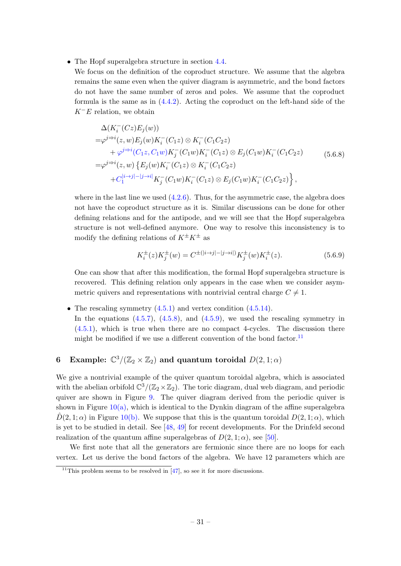- The Hopf superalgebra structure in section [4.4.](#page-16-0)
	- We focus on the definition of the coproduct structure. We assume that the algebra remains the same even when the quiver diagram is asymmetric, and the bond factors do not have the same number of zeros and poles. We assume that the coproduct formula is the same as in [\(4.4.2\)](#page-16-2). Acting the coproduct on the left-hand side of the  $K^-E$  relation, we obtain

$$
\Delta(K_i^-(Cz)E_j(w))
$$
\n
$$
=\varphi^{j\Rightarrow i}(z,w)E_j(w)K_i^-(C_1z) \otimes K_i^-(C_1C_2z)
$$
\n
$$
+\varphi^{j\Rightarrow i}(C_1z,C_1w)K_j^-(C_1w)K_i^-(C_1z) \otimes E_j(C_1w)K_i^-(C_1C_2z)
$$
\n
$$
=\varphi^{j\Rightarrow i}(z,w) \left\{ E_j(w)K_i^-(C_1z) \otimes K_i^-(C_1C_2z) +C_1^{|i\Rightarrow j|-|j\Rightarrow i|}K_j^-(C_1w)K_i^-(C_1z) \otimes E_j(C_1w)K_i^-(C_1C_2z) \right\},
$$
\n(5.6.8)

where in the last line we used  $(4.2.6)$ . Thus, for the asymmetric case, the algebra does not have the coproduct structure as it is. Similar discussions can be done for other defining relations and for the antipode, and we will see that the Hopf superalgebra structure is not well-defined anymore. One way to resolve this inconsistency is to modify the defining relations of  $K^{\pm}K^{\pm}$  as

$$
K_i^{\pm}(z)K_j^{\pm}(w) = C^{\pm(|i \to j| - |j \to i|)} K_j^{\pm}(w)K_i^{\pm}(z).
$$
 (5.6.9)

One can show that after this modification, the formal Hopf superalgebra structure is recovered. This defining relation only appears in the case when we consider asymmetric quivers and representations with nontrivial central charge  $C \neq 1$ .

• The rescaling symmetry  $(4.5.1)$  and vertex condition  $(4.5.14)$ . In the equations  $(4.5.7)$ ,  $(4.5.8)$ , and  $(4.5.9)$ , we used the rescaling symmetry in [\(4.5.1\)](#page-17-4), which is true when there are no compact 4-cycles. The discussion there might be modified if we use a different convention of the bond factor.<sup>[11](#page-32-1)</sup>

## <span id="page-32-0"></span>6 Example:  $\mathbb{C}^3/(\mathbb{Z}_2\times\mathbb{Z}_2)$  and quantum toroidal  $D(2,1;\alpha)$

We give a nontrivial example of the quiver quantum toroidal algebra, which is associated with the abelian orbifold  $\mathbb{C}^3/(\mathbb{Z}_2\times\mathbb{Z}_2)$ . The toric diagram, dual web diagram, and periodic quiver are shown in Figure [9.](#page-33-0) The quiver diagram derived from the periodic quiver is shown in Figure  $10(a)$ , which is identical to the Dynkin diagram of the affine superalgebra  $D(2, 1; \alpha)$  in Figure [10\(b\).](#page-33-1) We suppose that this is the quantum toroidal  $D(2, 1; \alpha)$ , which is yet to be studied in detail. See  $[48, 49]$  $[48, 49]$  $[48, 49]$  for recent developments. For the Drinfeld second realization of the quantum affine superalgebras of  $D(2, 1; \alpha)$ , see [\[50\]](#page-44-8).

We first note that all the generators are fermionic since there are no loops for each vertex. Let us derive the bond factors of the algebra. We have 12 parameters which are

<span id="page-32-1"></span><sup>&</sup>lt;sup>11</sup>This problem seems to be resolved in  $[47]$ , so see it for more discussions.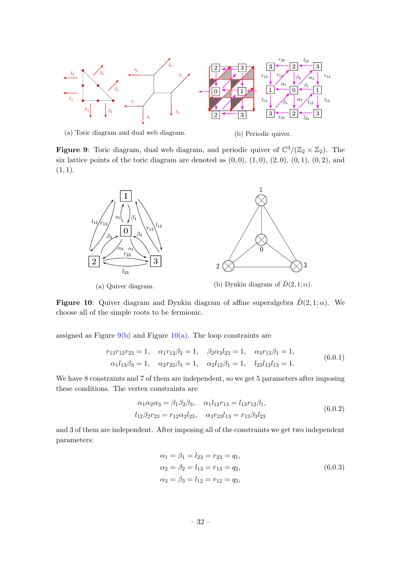<span id="page-33-0"></span>

(a) Toric diagram and dual web diagram. (b) Periodic quiver.

**Figure 9**: Toric diagram, dual web diagram, and periodic quiver of  $\mathbb{C}^3/(\mathbb{Z}_2 \times \mathbb{Z}_2)$ . The six lattice points of the toric diagram are denoted as  $(0, 0)$ ,  $(1, 0)$ ,  $(2, 0)$ ,  $(0, 1)$ ,  $(0, 2)$ , and  $(1, 1).$ 

<span id="page-33-1"></span>

**Figure 10:** Quiver diagram and Dynkin diagram of affine superalgebra  $\hat{D}(2,1;\alpha)$ . We choose all of the simple roots to be fermionic.

assigned as Figure  $9(b)$  and Figure  $10(a)$ . The loop constraints are

$$
r_{13}r_{12}r_{23} = 1, \quad \alpha_1 r_{12}\beta_2 = 1, \quad \beta_2 \alpha_3 l_{23} = 1, \quad \alpha_3 r_{13}\beta_1 = 1, \n\alpha_1 l_{13}\beta_3 = 1, \quad \alpha_2 r_{23}\beta_3 = 1, \quad \alpha_2 l_{12}\beta_1 = 1, \quad l_{23}l_{12}l_{13} = 1.
$$
\n(6.0.1)

We have 8 constraints and 7 of them are independent, so we get 5 parameters after imposing these conditions. The vertex constraints are

$$
\alpha_1 \alpha_2 \alpha_3 = \beta_1 \beta_2 \beta_3, \quad \alpha_1 l_{12} r_{13} = l_{13} r_{12} \beta_1, \n l_{12} \beta_2 r_{23} = r_{12} \alpha_2 l_{23}, \quad \alpha_3 r_{23} l_{13} = r_{13} \beta_3 l_{23}
$$
\n(6.0.2)

and 3 of them are independent. After imposing all of the constraints we get two independent parameters:

$$
\alpha_1 = \beta_1 = l_{23} = r_{23} = q_1,\n\alpha_2 = \beta_2 = l_{13} = r_{13} = q_2,\n\alpha_3 = \beta_3 = l_{12} = r_{12} = q_3,
$$
\n(6.0.3)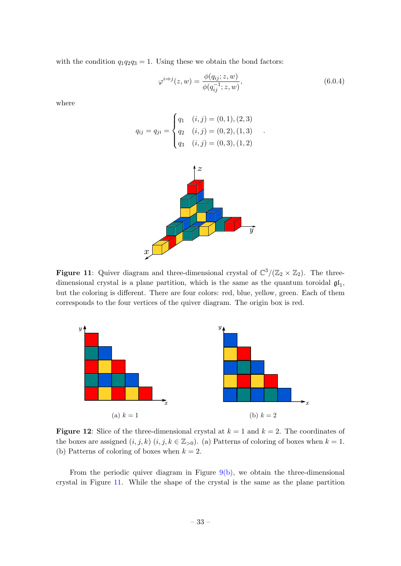with the condition  $q_1q_2q_3 = 1$ . Using these we obtain the bond factors:

<span id="page-34-2"></span>
$$
\varphi^{i \to j}(z, w) = \frac{\phi(q_{ij}; z, w)}{\phi(q_{ij}^{-1}; z, w)},
$$
\n(6.0.4)

<span id="page-34-0"></span>where

$$
q_{ij} = q_{ji} = \begin{cases} q_1 & (i,j) = (0,1), (2,3) \\ q_2 & (i,j) = (0,2), (1,3) \\ q_3 & (i,j) = (0,3), (1,2) \end{cases}
$$



**Figure 11**: Quiver diagram and three-dimensional crystal of  $\mathbb{C}^3/(\mathbb{Z}_2 \times \mathbb{Z}_2)$ . The threedimensional crystal is a plane partition, which is the same as the quantum toroidal  $\mathfrak{gl}_1$ , but the coloring is different. There are four colors: red, blue, yellow, green. Each of them corresponds to the four vertices of the quiver diagram. The origin box is red.

<span id="page-34-1"></span>

**Figure 12:** Slice of the three-dimensional crystal at  $k = 1$  and  $k = 2$ . The coordinates of the boxes are assigned  $(i, j, k)$   $(i, j, k \in \mathbb{Z}_{>0})$ . (a) Patterns of coloring of boxes when  $k = 1$ . (b) Patterns of coloring of boxes when  $k = 2$ .

From the periodic quiver diagram in Figure  $9(b)$ , we obtain the three-dimensional crystal in Figure [11.](#page-34-0) While the shape of the crystal is the same as the plane partition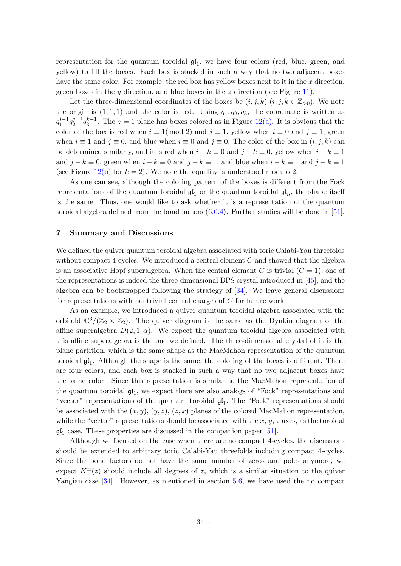representation for the quantum toroidal  $\mathfrak{gl}_1$ , we have four colors (red, blue, green, and yellow) to fill the boxes. Each box is stacked in such a way that no two adjacent boxes have the same color. For example, the red box has yellow boxes next to it in the x direction, green boxes in the y direction, and blue boxes in the z direction (see Figure [11\)](#page-34-0).

Let the three-dimensional coordinates of the boxes be  $(i, j, k)$   $(i, j, k \in \mathbb{Z}_{>0})$ . We note the origin is  $(1, 1, 1)$  and the color is red. Using  $q_1, q_2, q_3$ , the coordinate is written as  $q_1^{i-1}q_2^{j-1}$  $2^{j-1}q_3^{k-1}$ . The  $z=1$  plane has boxes colored as in Figure [12\(a\).](#page-34-1) It is obvious that the color of the box is red when  $i \equiv 1 \pmod{2}$  and  $j \equiv 1$ , yellow when  $i \equiv 0$  and  $j \equiv 1$ , green when  $i \equiv 1$  and  $j \equiv 0$ , and blue when  $i \equiv 0$  and  $j \equiv 0$ . The color of the box in  $(i, j, k)$  can be determined similarly, and it is red when  $i - k \equiv 0$  and  $j - k \equiv 0$ , yellow when  $i - k \equiv 1$ and  $j - k \equiv 0$ , green when  $i - k \equiv 0$  and  $j - k \equiv 1$ , and blue when  $i - k \equiv 1$  and  $j - k \equiv 1$ (see Figure [12\(b\)](#page-34-1) for  $k = 2$ ). We note the equality is understood modulo 2.

As one can see, although the coloring pattern of the boxes is different from the Fock representations of the quantum toroidal  $\mathfrak{gl}_1$  or the quantum toroidal  $\mathfrak{gl}_n$ , the shape itself is the same. Thus, one would like to ask whether it is a representation of the quantum toroidal algebra defined from the bond factors [\(6.0.4\)](#page-34-2). Further studies will be done in [\[51\]](#page-44-9).

#### <span id="page-35-0"></span>7 Summary and Discussions

We defined the quiver quantum toroidal algebra associated with toric Calabi-Yau threefolds without compact 4-cycles. We introduced a central element  $C$  and showed that the algebra is an associative Hopf superalgebra. When the central element C is trivial  $(C = 1)$ , one of the representations is indeed the three-dimensional BPS crystal introduced in [\[45\]](#page-44-0), and the algebra can be bootstrapped following the strategy of [\[34\]](#page-43-10). We leave general discussions for representations with nontrivial central charges of C for future work.

As an example, we introduced a quiver quantum toroidal algebra associated with the orbifold  $\mathbb{C}^3/(\mathbb{Z}_2 \times \mathbb{Z}_2)$ . The quiver diagram is the same as the Dynkin diagram of the affine superalgebra  $D(2, 1; \alpha)$ . We expect the quantum toroidal algebra associated with this affine superalgebra is the one we defined. The three-dimensional crystal of it is the plane partition, which is the same shape as the MacMahon representation of the quantum toroidal  $\mathfrak{gl}_1$ . Although the shape is the same, the coloring of the boxes is different. There are four colors, and each box is stacked in such a way that no two adjacent boxes have the same color. Since this representation is similar to the MacMahon representation of the quantum toroidal  $\mathfrak{gl}_1$ , we expect there are also analogs of "Fock" representations and "vector" representations of the quantum toroidal  $\mathfrak{gl}_1$ . The "Fock" representations should be associated with the  $(x, y)$ ,  $(y, z)$ ,  $(z, x)$  planes of the colored MacMahon representation, while the "vector" representations should be associated with the  $x, y, z$  axes, as the toroidal  $\mathfrak{gl}_1$  case. These properties are discussed in the companion paper [\[51\]](#page-44-9).

Although we focused on the case when there are no compact 4-cycles, the discussions should be extended to arbitrary toric Calabi-Yau threefolds including compact 4-cycles. Since the bond factors do not have the same number of zeros and poles anymore, we expect  $K^{\pm}(z)$  should include all degrees of z, which is a similar situation to the quiver Yangian case [\[34\]](#page-43-10). However, as mentioned in section [5.6,](#page-30-0) we have used the no compact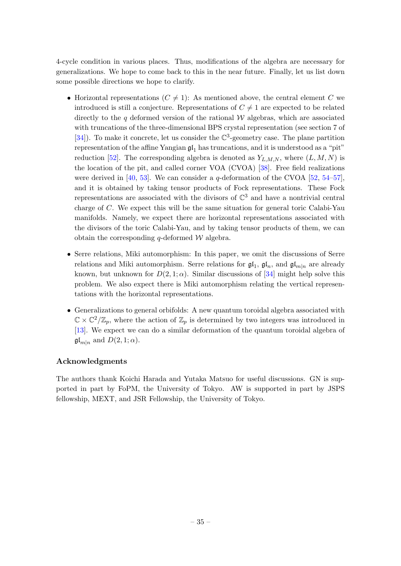4-cycle condition in various places. Thus, modifications of the algebra are necessary for generalizations. We hope to come back to this in the near future. Finally, let us list down some possible directions we hope to clarify.

- Horizontal representations  $(C \neq 1)$ : As mentioned above, the central element C we introduced is still a conjecture. Representations of  $C \neq 1$  are expected to be related directly to the q deformed version of the rational  $W$  algebras, which are associated with truncations of the three-dimensional BPS crystal representation (see section 7 of  $[34]$ . To make it concrete, let us consider the  $\mathbb{C}^3$ -geometry case. The plane partition representation of the affine Yangian  $\mathfrak{gl}_1$  has truncations, and it is understood as a "pit" reduction [\[52\]](#page-44-10). The corresponding algebra is denoted as  $Y_{L,M,N}$ , where  $(L, M, N)$  is the location of the pit, and called corner VOA (CVOA) [\[38\]](#page-43-13). Free field realizations were derived in [\[40,](#page-44-11) [53\]](#page-44-12). We can consider a q-deformation of the CVOA [\[52,](#page-44-10) [54–](#page-44-13)[57\]](#page-44-14), and it is obtained by taking tensor products of Fock representations. These Fock representations are associated with the divisors of  $\mathbb{C}^3$  and have a nontrivial central charge of C. We expect this will be the same situation for general toric Calabi-Yau manifolds. Namely, we expect there are horizontal representations associated with the divisors of the toric Calabi-Yau, and by taking tensor products of them, we can obtain the corresponding q-deformed  $W$  algebra.
- Serre relations, Miki automorphism: In this paper, we omit the discussions of Serre relations and Miki automorphism. Serre relations for  $\mathfrak{gl}_1$ ,  $\mathfrak{gl}_n$ , and  $\mathfrak{gl}_{m|n}$  are already known, but unknown for  $D(2,1;\alpha)$ . Similar discussions of [\[34\]](#page-43-10) might help solve this problem. We also expect there is Miki automorphism relating the vertical representations with the horizontal representations.
- Generalizations to general orbifolds: A new quantum toroidal algebra associated with  $\mathbb{C} \times \mathbb{C}^2/\mathbb{Z}_p$ , where the action of  $\mathbb{Z}_p$  is determined by two integers was introduced in [\[13\]](#page-42-5). We expect we can do a similar deformation of the quantum toroidal algebra of  $\mathfrak{gl}_{m|n}$  and  $D(2,1;\alpha)$ .

## Acknowledgments

<span id="page-36-0"></span>The authors thank Koichi Harada and Yutaka Matsuo for useful discussions. GN is supported in part by FoPM, the University of Tokyo. AW is supported in part by JSPS fellowship, MEXT, and JSR Fellowship, the University of Tokyo.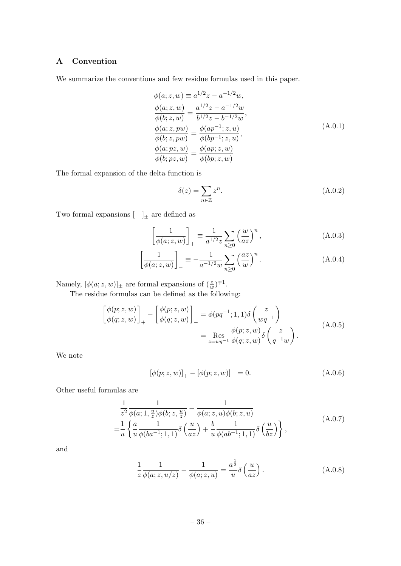## A Convention

We summarize the conventions and few residue formulas used in this paper.

$$
\begin{aligned}\n\phi(a; z, w) &\equiv a^{1/2}z - a^{-1/2}w, \\
\frac{\phi(a; z, w)}{\phi(b; z, w)} &= \frac{a^{1/2}z - a^{-1/2}w}{b^{1/2}z - b^{-1/2}w}, \\
\frac{\phi(a; z, pw)}{\phi(b; z, pw)} &= \frac{\phi(ap^{-1}; z, u)}{\phi(bp^{-1}; z, u)}, \\
\frac{\phi(a; pz, w)}{\phi(b; pz, w)} &= \frac{\phi(ap; z, w)}{\phi(bp; z, w)}\n\end{aligned} \tag{A.0.1}
$$

The formal expansion of the delta function is

$$
\delta(z) = \sum_{n \in \mathbb{Z}} z^n.
$$
\n(A.0.2)

Two formal expansions  $[\quad ]_{\pm}$  are defined as

$$
\left[\frac{1}{\phi(a;z,w)}\right]_+ \equiv \frac{1}{a^{1/2}z} \sum_{n\geq 0} \left(\frac{w}{az}\right)^n, \tag{A.0.3}
$$

$$
\left[\frac{1}{\phi(a;z,w)}\right]_-=\frac{1}{a^{-1/2}w}\sum_{n\geq 0}\left(\frac{az}{w}\right)^n.
$$
\n(A.0.4)

Namely,  $[\phi(a; z, w)]_{\pm}$  are formal expansions of  $(\frac{z}{w})^{\mp 1}$ .

The residue formulas can be defined as the following:

$$
\begin{aligned}\n\left[\frac{\phi(p;z,w)}{\phi(q;z,w)}\right]_{+} - \left[\frac{\phi(p;z,w)}{\phi(q;z,w)}\right]_{-} &= \phi(pq^{-1};1,1)\delta\left(\frac{z}{wq^{-1}}\right) \\
&= \operatorname{Res}_{z=wq^{-1}} \frac{\phi(p;z,w)}{\phi(q;z,w)}\delta\left(\frac{z}{q^{-1}w}\right).\n\end{aligned} \tag{A.0.5}
$$

We note

$$
[\phi(p; z, w)]_{+} - [\phi(p; z, w)]_{-} = 0.
$$
 (A.0.6)

Other useful formulas are

$$
\frac{1}{z^2} \frac{1}{\phi(a; 1, \frac{u}{z})\phi(b; z, \frac{u}{z})} - \frac{1}{\phi(a; z, u)\phi(b; z, u)}
$$
\n
$$
= \frac{1}{u} \left\{ \frac{a}{u} \frac{1}{\phi(ba^{-1}; 1, 1)} \delta\left(\frac{u}{az}\right) + \frac{b}{u} \frac{1}{\phi(ab^{-1}; 1, 1)} \delta\left(\frac{u}{bz}\right) \right\},
$$
\n(A.0.7)

<span id="page-37-0"></span>and

$$
\frac{1}{z}\frac{1}{\phi(a;z,u/z)} - \frac{1}{\phi(a;z,u)} = \frac{a^{\frac{1}{2}}}{u}\delta\left(\frac{u}{az}\right). \tag{A.0.8}
$$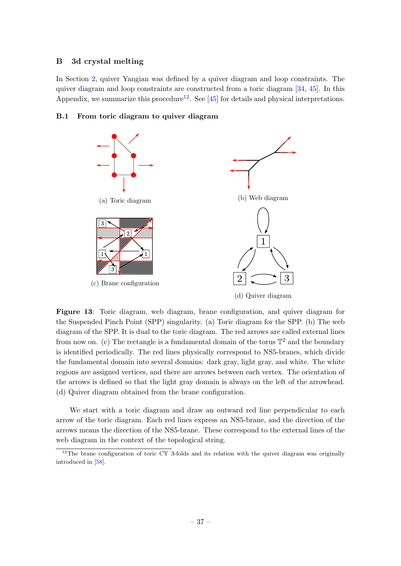## B 3d crystal melting

In Section [2,](#page-3-0) quiver Yangian was defined by a quiver diagram and loop constraints. The quiver diagram and loop constraints are constructed from a toric diagram [\[34,](#page-43-10) [45\]](#page-44-0). In this Appendix, we summarize this procedure<sup>[12](#page-38-1)</sup>. See [\[45\]](#page-44-0) for details and physical interpretations.



## <span id="page-38-2"></span><span id="page-38-0"></span>B.1 From toric diagram to quiver diagram

Figure 13: Toric diagram, web diagram, brane configuration, and quiver diagram for the Suspended Pinch Point (SPP) singularity. (a) Toric diagram for the SPP. (b) The web diagram of the SPP. It is dual to the toric diagram. The red arrows are called external lines from now on. (c) The rectangle is a fundamental domain of the torus  $\mathbb{T}^2$  and the boundary is identified periodically. The red lines physically correspond to NS5-branes, which divide the fundamental domain into several domains: dark gray, light gray, and white. The white regions are assigned vertices, and there are arrows between each vertex. The orientation of the arrows is defined so that the light gray domain is always on the left of the arrowhead. (d) Quiver diagram obtained from the brane configuration.

We start with a toric diagram and draw an outward red line perpendicular to each arrow of the toric diagram. Each red lines express an NS5-brane, and the direction of the arrows means the direction of the NS5-brane. These correspond to the external lines of the web diagram in the context of the topological string.

<span id="page-38-1"></span> $12$ The brane configuration of toric CY 3-folds and its relation with the quiver diagram was originally introduced in [\[58\]](#page-44-15).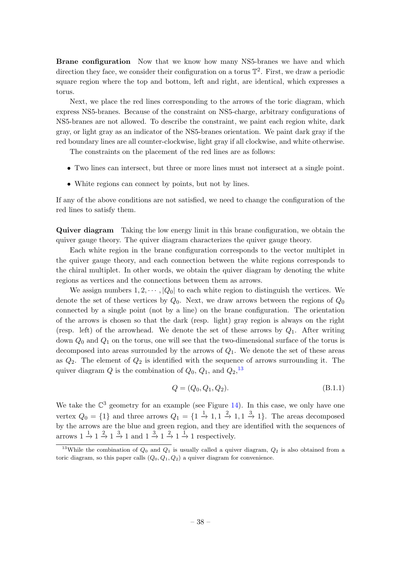Brane configuration Now that we know how many NS5-branes we have and which direction they face, we consider their configuration on a torus  $\mathbb{T}^2$ . First, we draw a periodic square region where the top and bottom, left and right, are identical, which expresses a torus.

Next, we place the red lines corresponding to the arrows of the toric diagram, which express NS5-branes. Because of the constraint on NS5-charge, arbitrary configurations of NS5-branes are not allowed. To describe the constraint, we paint each region white, dark gray, or light gray as an indicator of the NS5-branes orientation. We paint dark gray if the red boundary lines are all counter-clockwise, light gray if all clockwise, and white otherwise.

The constraints on the placement of the red lines are as follows:

- Two lines can intersect, but three or more lines must not intersect at a single point.
- White regions can connect by points, but not by lines.

If any of the above conditions are not satisfied, we need to change the configuration of the red lines to satisfy them.

Quiver diagram Taking the low energy limit in this brane configuration, we obtain the quiver gauge theory. The quiver diagram characterizes the quiver gauge theory.

Each white region in the brane configuration corresponds to the vector multiplet in the quiver gauge theory, and each connection between the white regions corresponds to the chiral multiplet. In other words, we obtain the quiver diagram by denoting the white regions as vertices and the connections between them as arrows.

We assign numbers  $1, 2, \cdots, |Q_0|$  to each white region to distinguish the vertices. We denote the set of these vertices by  $Q_0$ . Next, we draw arrows between the regions of  $Q_0$ connected by a single point (not by a line) on the brane configuration. The orientation of the arrows is chosen so that the dark (resp. light) gray region is always on the right (resp. left) of the arrowhead. We denote the set of these arrows by  $Q_1$ . After writing down  $Q_0$  and  $Q_1$  on the torus, one will see that the two-dimensional surface of the torus is decomposed into areas surrounded by the arrows of  $Q_1$ . We denote the set of these areas as  $Q_2$ . The element of  $Q_2$  is identified with the sequence of arrows surrounding it. The quiver diagram Q is the combination of  $Q_0$ ,  $Q_1$ , and  $Q_2$ , <sup>[13](#page-39-1)</sup>

$$
Q = (Q_0, Q_1, Q_2). \tag{B.1.1}
$$

We take the  $\mathbb{C}^3$  geometry for an example (see Figure [14\)](#page-40-2). In this case, we only have one vertex  $Q_0 = \{1\}$  and three arrows  $Q_1 = \{1 \stackrel{1}{\rightarrow} 1, 1 \stackrel{2}{\rightarrow} 1, 1 \stackrel{3}{\rightarrow} 1\}$ . The areas decomposed by the arrows are the blue and green region, and they are identified with the sequences of arrows  $1 \stackrel{1}{\rightarrow} 1 \stackrel{2}{\rightarrow} 1 \stackrel{3}{\rightarrow} 1$  and  $1 \stackrel{3}{\rightarrow} 1 \stackrel{2}{\rightarrow} 1 \stackrel{1}{\rightarrow} 1$  respectively.

<span id="page-39-1"></span><span id="page-39-0"></span><sup>&</sup>lt;sup>13</sup>While the combination of  $Q_0$  and  $Q_1$  is usually called a quiver diagram,  $Q_2$  is also obtained from a toric diagram, so this paper calls  $(Q_0, Q_1, Q_2)$  a quiver diagram for convenience.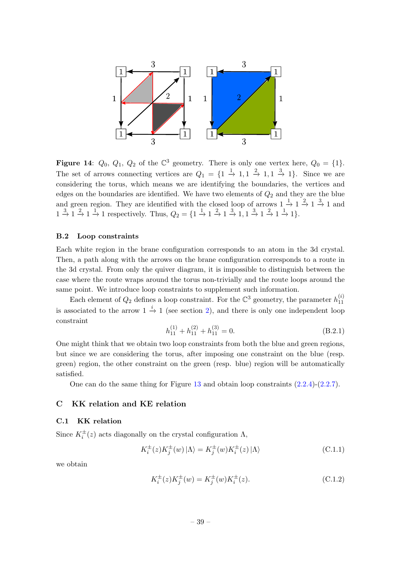<span id="page-40-2"></span>

**Figure 14:**  $Q_0$ ,  $Q_1$ ,  $Q_2$  of the  $\mathbb{C}^3$  geometry. There is only one vertex here,  $Q_0 = \{1\}$ . The set of arrows connecting vertices are  $Q_1 = \{1 \stackrel{1}{\rightarrow} 1, 1 \stackrel{2}{\rightarrow} 1, 1 \stackrel{3}{\rightarrow} 1\}$ . Since we are considering the torus, which means we are identifying the boundaries, the vertices and edges on the boundaries are identified. We have two elements of  $Q_2$  and they are the blue and green region. They are identified with the closed loop of arrows  $1 \stackrel{1}{\rightarrow} 1 \stackrel{2}{\rightarrow} 1 \stackrel{3}{\rightarrow} 1$  and  $1 \stackrel{3}{\rightarrow} 1 \stackrel{2}{\rightarrow} 1 \stackrel{1}{\rightarrow} 1$  respectively. Thus,  $Q_2 = \{1 \stackrel{1}{\rightarrow} 1 \stackrel{2}{\rightarrow} 1 \stackrel{3}{\rightarrow} 1, 1 \stackrel{3}{\rightarrow} 1 \stackrel{2}{\rightarrow} 1 \stackrel{1}{\rightarrow} 1\}$ .

#### B.2 Loop constraints

Each white region in the brane configuration corresponds to an atom in the 3d crystal. Then, a path along with the arrows on the brane configuration corresponds to a route in the 3d crystal. From only the quiver diagram, it is impossible to distinguish between the case where the route wraps around the torus non-trivially and the route loops around the same point. We introduce loop constraints to supplement such information.

Each element of  $Q_2$  defines a loop constraint. For the  $\mathbb{C}^3$  geometry, the parameter  $h_{11}^{(i)}$ 11 is associated to the arrow  $1 \stackrel{i}{\rightarrow} 1$  (see section [2\)](#page-3-0), and there is only one independent loop constraint

$$
h_{11}^{(1)} + h_{11}^{(2)} + h_{11}^{(3)} = 0.
$$
 (B.2.1)

One might think that we obtain two loop constraints from both the blue and green regions, but since we are considering the torus, after imposing one constraint on the blue (resp. green) region, the other constraint on the green (resp. blue) region will be automatically satisfied.

One can do the same thing for Figure [13](#page-38-2) and obtain loop constraints [\(2.2.4\)](#page-5-3)-[\(2.2.7\)](#page-5-6).

## <span id="page-40-0"></span>C KK relation and KE relation

## <span id="page-40-1"></span>C.1 KK relation

Since  $K_i^{\pm}(z)$  acts diagonally on the crystal configuration  $\Lambda$ ,

$$
K_i^{\pm}(z)K_j^{\pm}(w) \left| \Lambda \right\rangle = K_j^{\pm}(w)K_i^{\pm}(z) \left| \Lambda \right\rangle \tag{C.1.1}
$$

we obtain

$$
K_i^{\pm}(z)K_j^{\pm}(w) = K_j^{\pm}(w)K_i^{\pm}(z). \tag{C.1.2}
$$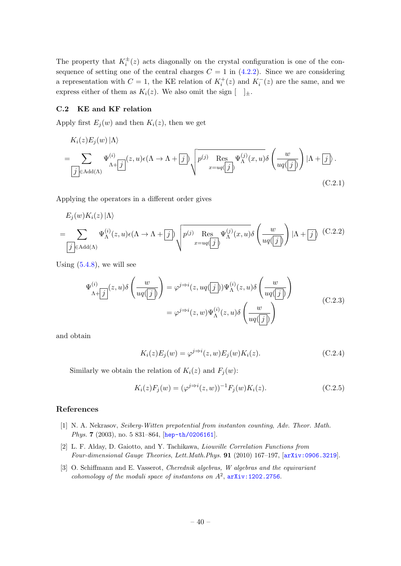The property that  $K_i^{\pm}(z)$  acts diagonally on the crystal configuration is one of the consequence of setting one of the central charges  $C = 1$  in  $(4.2.2)$ . Since we are considering a representation with  $C = 1$ , the KE relation of  $K_i^+(z)$  and  $K_i^-(z)$  are the same, and we express either of them as  $K_i(z)$ . We also omit the sign  $[-]_{\pm}$ .

#### <span id="page-41-0"></span>C.2 KE and KF relation

Apply first  $E_i(w)$  and then  $K_i(z)$ , then we get

$$
K_i(z)E_j(w) |\Lambda\rangle
$$
  
= 
$$
\sum_{\substack{j \in \text{Add}(\Lambda)}} \Psi_{\Lambda + \boxed{j}}^{(i)}(z, u) \epsilon(\Lambda \to \Lambda + \boxed{j}) \sqrt{p^{(j)} \operatorname{Res}_{x = uq} \Psi_{\Lambda}^{(j)}(x, u)} \delta\left(\frac{w}{uq(\boxed{j})}\right) |\Lambda + \boxed{j} \rangle.
$$
 (C.2.1)

Applying the operators in a different order gives

$$
E_j(w)K_i(z) |\Lambda\rangle
$$
  
= 
$$
\sum_{\substack{j \in \text{Add}(\Lambda)}} \Psi_{\Lambda}^{(i)}(z, u) \epsilon(\Lambda \to \Lambda + \boxed{j}) \sqrt{p^{(j)} \operatorname{Res}_{x = uq(\boxed{j})} \Psi_{\Lambda}^{(j)}(x, u) \delta \left(\frac{w}{uq(\boxed{j})}\right) |\Lambda + \boxed{j} \quad (C.2.2)
$$

Using  $(5.4.8)$ , we will see

$$
\Psi_{\Lambda + [j]}^{(i)}(z, u)\delta\left(\frac{w}{uq(j)}\right) = \varphi^{j \Rightarrow i}(z, uq(j))\Psi_{\Lambda}^{(i)}(z, u)\delta\left(\frac{w}{uq(j)}\right)
$$
\n
$$
= \varphi^{j \Rightarrow i}(z, w)\Psi_{\Lambda}^{(i)}(z, u)\delta\left(\frac{w}{uq(j)}\right)
$$
\n(C.2.3)

and obtain

$$
K_i(z)E_j(w) = \varphi^{j \to i}(z, w)E_j(w)K_i(z). \tag{C.2.4}
$$

Similarly we obtain the relation of  $K_i(z)$  and  $F_i(w)$ :

$$
K_i(z)F_j(w) = (\varphi^{j \to i}(z, w))^{-1}F_j(w)K_i(z).
$$
\n(C.2.5)

## References

- <span id="page-41-1"></span>[1] N. A. Nekrasov, Seiberg-Witten prepotential from instanton counting, Adv. Theor. Math. Phys. 7 (2003), no. 5 831-864, [[hep-th/0206161](http://arxiv.org/abs/hep-th/0206161)].
- <span id="page-41-2"></span>[2] L. F. Alday, D. Gaiotto, and Y. Tachikawa, Liouville Correlation Functions from Four-dimensional Gauge Theories, Lett.Math.Phys. 91 (2010) 167–197, [[arXiv:0906.3219](http://arxiv.org/abs/0906.3219)].
- <span id="page-41-3"></span>[3] O. Schiffmann and E. Vasserot, Cherednik algebras, W algebras and the equivariant cohomology of the moduli space of instantons on  $A^2$ ,  $arXiv:1202.2756$ .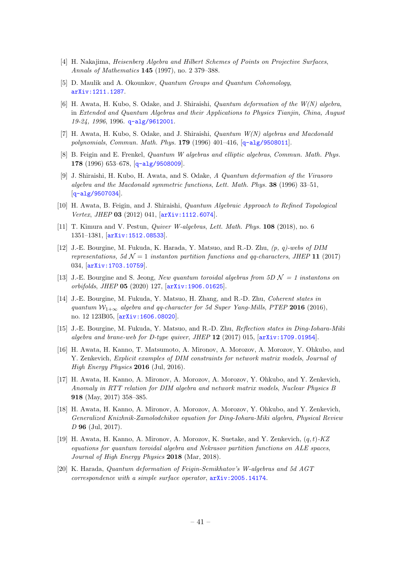- [4] H. Nakajima, Heisenberg Algebra and Hilbert Schemes of Points on Projective Surfaces, Annals of Mathematics 145 (1997), no. 2 379–388.
- <span id="page-42-0"></span>[5] D. Maulik and A. Okounkov, *Quantum Groups and Quantum Cohomology*, [arXiv:1211.1287](http://arxiv.org/abs/1211.1287).
- <span id="page-42-1"></span>[6] H. Awata, H. Kubo, S. Odake, and J. Shiraishi, Quantum deformation of the W(N) algebra, in Extended and Quantum Algebras and their Applications to Physics Tianjin, China, August 19-24, 1996, 1996. [q-alg/9612001](http://arxiv.org/abs/q-alg/9612001).
- [7] H. Awata, H. Kubo, S. Odake, and J. Shiraishi, Quantum W(N) algebras and Macdonald polynomials, Commun. Math. Phys. 179 (1996) 401–416, [[q-alg/9508011](http://arxiv.org/abs/q-alg/9508011)].
- [8] B. Feigin and E. Frenkel, *Quantum W algebras and elliptic algebras*, *Commun. Math. Phys.* 178 (1996) 653–678, [[q-alg/9508009](http://arxiv.org/abs/q-alg/9508009)].
- <span id="page-42-2"></span>[9] J. Shiraishi, H. Kubo, H. Awata, and S. Odake, A Quantum deformation of the Virasoro algebra and the Macdonald symmetric functions, Lett. Math. Phys. 38 (1996) 33–51, [[q-alg/9507034](http://arxiv.org/abs/q-alg/9507034)].
- <span id="page-42-3"></span>[10] H. Awata, B. Feigin, and J. Shiraishi, Quantum Algebraic Approach to Refined Topological Vertex, JHEP 03 (2012) 041, [[arXiv:1112.6074](http://arxiv.org/abs/1112.6074)].
- [11] T. Kimura and V. Pestun, Quiver W-algebras, Lett. Math. Phys. 108 (2018), no. 6 1351–1381, [[arXiv:1512.08533](http://arxiv.org/abs/1512.08533)].
- [12] J.-E. Bourgine, M. Fukuda, K. Harada, Y. Matsuo, and R.-D. Zhu, (p, q)-webs of DIM representations, 5d  $\mathcal{N} = 1$  instanton partition functions and gq-characters, JHEP 11 (2017) 034, [[arXiv:1703.10759](http://arxiv.org/abs/1703.10759)].
- <span id="page-42-5"></span>[13] J.-E. Bourgine and S. Jeong, New quantum toroidal algebras from  $5D \mathcal{N} = 1$  instantons on orbifolds, JHEP 05 (2020) 127, [[arXiv:1906.01625](http://arxiv.org/abs/1906.01625)].
- [14] J.-E. Bourgine, M. Fukuda, Y. Matsuo, H. Zhang, and R.-D. Zhu, Coherent states in quantum  $W_{1+\infty}$  algebra and qq-character for 5d Super Yang-Mills, PTEP 2016 (2016), no. 12 123B05, [[arXiv:1606.08020](http://arxiv.org/abs/1606.08020)].
- [15] J.-E. Bourgine, M. Fukuda, Y. Matsuo, and R.-D. Zhu, Reflection states in Ding-Iohara-Miki algebra and brane-web for D-type quiver, JHEP  $12$  (2017) 015, [[arXiv:1709.01954](http://arxiv.org/abs/1709.01954)].
- [16] H. Awata, H. Kanno, T. Matsumoto, A. Mironov, A. Morozov, A. Morozov, Y. Ohkubo, and Y. Zenkevich, Explicit examples of DIM constraints for network matrix models, Journal of High Energy Physics 2016 (Jul, 2016).
- [17] H. Awata, H. Kanno, A. Mironov, A. Morozov, A. Morozov, Y. Ohkubo, and Y. Zenkevich, Anomaly in RTT relation for DIM algebra and network matrix models, Nuclear Physics B 918 (May, 2017) 358–385.
- [18] H. Awata, H. Kanno, A. Mironov, A. Morozov, A. Morozov, Y. Ohkubo, and Y. Zenkevich, Generalized Knizhnik-Zamolodchikov equation for Ding-Iohara-Miki algebra, Physical Review D 96 (Jul, 2017).
- [19] H. Awata, H. Kanno, A. Mironov, A. Morozov, K. Suetake, and Y. Zenkevich,  $(q, t)$ -KZ equations for quantum toroidal algebra and Nekrasov partition functions on ALE spaces, Journal of High Energy Physics 2018 (Mar, 2018).
- <span id="page-42-4"></span>[20] K. Harada, Quantum deformation of Feigin-Semikhatov's W-algebras and 5d AGT correspondence with a simple surface operator, [arXiv:2005.14174](http://arxiv.org/abs/2005.14174).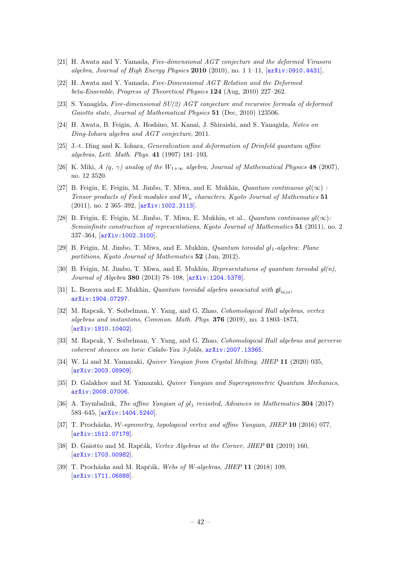- <span id="page-43-0"></span>[21] H. Awata and Y. Yamada, Five-dimensional AGT conjecture and the deformed Virasoro algebra, Journal of High Energy Physics  $2010$  (2010), no. 1 1–11,  $[\text{arXiv:0910.4431}]$  $[\text{arXiv:0910.4431}]$  $[\text{arXiv:0910.4431}]$ .
- [22] H. Awata and Y. Yamada, Five-Dimensional AGT Relation and the Deformed beta-Ensemble, Progress of Theoretical Physics 124 (Aug, 2010) 227–262.
- [23] S. Yanagida, Five-dimensional SU(2) AGT conjecture and recursive formula of deformed Gaiotto state, Journal of Mathematical Physics 51 (Dec, 2010) 123506.
- <span id="page-43-1"></span>[24] H. Awata, B. Feigin, A. Hoshino, M. Kanai, J. Shiraishi, and S. Yanagida, Notes on Ding-Iohara algebra and AGT conjecture, 2011.
- <span id="page-43-2"></span>[25] J.-t. Ding and K. Iohara, Generalization and deformation of Drinfeld quantum affine algebras, Lett. Math. Phys. 41 (1997) 181–193.
- <span id="page-43-11"></span>[26] K. Miki, A (q,  $\gamma$ ) analog of the  $W_{1+\infty}$  algebra, Journal of Mathematical Physics 48 (2007), no. 12 3520.
- [27] B. Feigin, E. Feigin, M. Jimbo, T. Miwa, and E. Mukhin, *Quantum continuous*  $ql(\infty)$ *:* Tensor products of Fock modules and  $W_n$  characters, Kyoto Journal of Mathematics 51 (2011), no. 2 365–392, [[arXiv:1002.3113](http://arxiv.org/abs/1002.3113)].
- <span id="page-43-12"></span>[28] B. Feigin, E. Feigin, M. Jimbo, T. Miwa, E. Mukhin, et al., *Quantum continuous*  $gl(\infty)$ : Semiinfinite construction of representations, Kyoto Journal of Mathematics 51 (2011), no. 2 337–364, [[arXiv:1002.3100](http://arxiv.org/abs/1002.3100)].
- <span id="page-43-3"></span>[29] B. Feigin, M. Jimbo, T. Miwa, and E. Mukhin, *Quantum toroidal*  $gl_1$ *-algebra: Plane* partitions, Kyoto Journal of Mathematics 52 (Jan, 2012).
- <span id="page-43-4"></span>[30] B. Feigin, M. Jimbo, T. Miwa, and E. Mukhin, Representations of quantum toroidal  $q_l(n)$ , Journal of Algebra 380 (2013) 78–108, [[arXiv:1204.5378](http://arxiv.org/abs/1204.5378)].
- <span id="page-43-5"></span>[31] L. Bezerra and E. Mukhin, Quantum toroidal algebra associated with  $\mathfrak{gl}_{m|n}$ , [arXiv:1904.07297](http://arxiv.org/abs/1904.07297).
- <span id="page-43-6"></span>[32] M. Rapcak, Y. Soibelman, Y. Yang, and G. Zhao, Cohomological Hall algebras, vertex algebras and instantons, Commun. Math. Phys. 376 (2019), no. 3 1803–1873, [[arXiv:1810.10402](http://arxiv.org/abs/1810.10402)].
- [33] M. Rapcak, Y. Soibelman, Y. Yang, and G. Zhao, *Cohomological Hall algebras and perverse* coherent sheaves on toric Calabi-Yau 3-folds, [arXiv:2007.13365](http://arxiv.org/abs/2007.13365).
- <span id="page-43-10"></span>[34] W. Li and M. Yamazaki, Quiver Yangian from Crystal Melting, JHEP 11 (2020) 035, [[arXiv:2003.08909](http://arxiv.org/abs/2003.08909)].
- <span id="page-43-7"></span>[35] D. Galakhov and M. Yamazaki, Quiver Yangian and Supersymmetric Quantum Mechanics, [arXiv:2008.07006](http://arxiv.org/abs/2008.07006).
- <span id="page-43-8"></span>[36] A. Tsymbaliuk, The affine Yangian of  $q_l$ <sub>1</sub> revisited, Advances in Mathematics **304** (2017) 583–645, [[arXiv:1404.5240](http://arxiv.org/abs/1404.5240)].
- <span id="page-43-9"></span>[37] T. Procházka, W-symmetry, topological vertex and affine Yangian, JHEP 10 (2016) 077, [[arXiv:1512.07178](http://arxiv.org/abs/1512.07178)].
- <span id="page-43-13"></span>[38] D. Gaiotto and M. Rapčák, Vertex Algebras at the Corner, JHEP 01 (2019) 160, [[arXiv:1703.00982](http://arxiv.org/abs/1703.00982)].
- [39] T. Procházka and M. Rapčák, Webs of W-algebras, JHEP 11 (2018) 109, [[arXiv:1711.06888](http://arxiv.org/abs/1711.06888)].